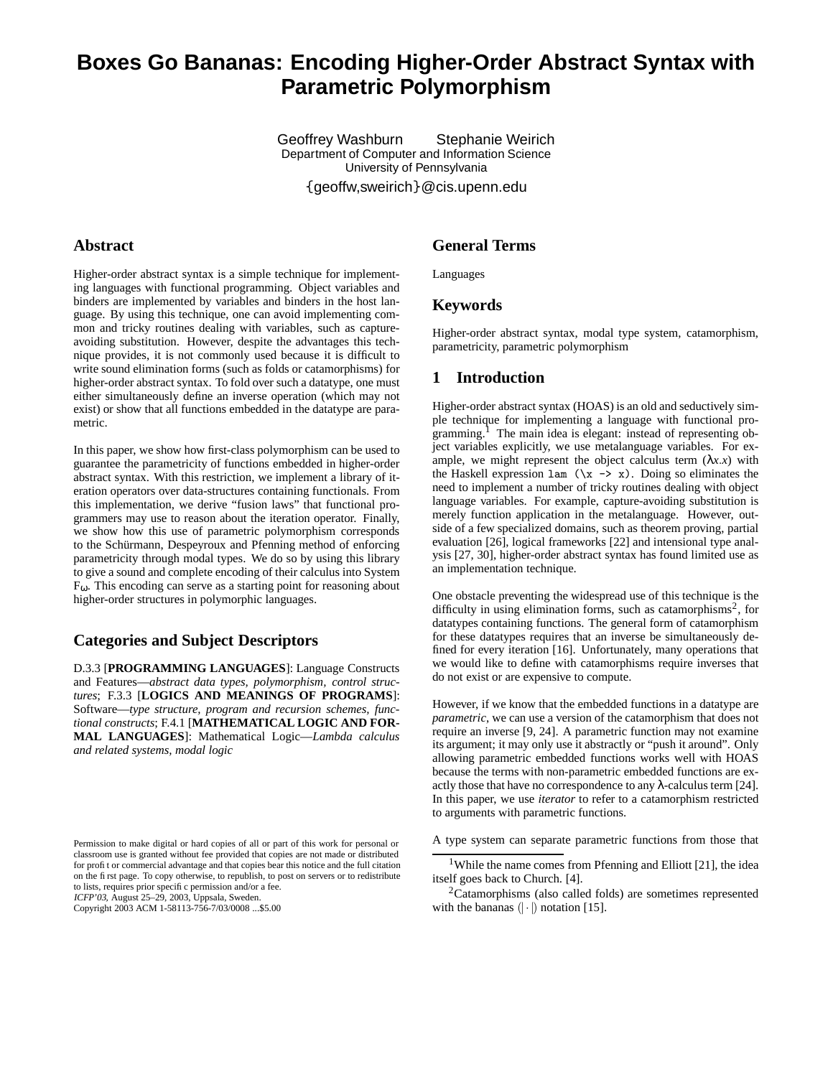# **Boxes Go Bananas: Encoding Higher-Order Abstract Syntax with Parametric Polymorphism**

Geoffrey Washburn Stephanie Weirich Department of Computer and Information Science University of Pennsylvania

{geoffw,sweirich}@cis.upenn.edu

# **Abstract**

Higher-order abstract syntax is a simple technique for implementing languages with functional programming. Object variables and binders are implemented by variables and binders in the host language. By using this technique, one can avoid implementing common and tricky routines dealing with variables, such as captureavoiding substitution. However, despite the advantages this technique provides, it is not commonly used because it is difficult to write sound elimination forms (such as folds or catamorphisms) for higher-order abstract syntax. To fold over such a datatype, one must either simultaneously define an inverse operation (which may not exist) or show that all functions embedded in the datatype are parametric.

In this paper, we show how first-class polymorphism can be used to guarantee the parametricity of functions embedded in higher-order abstract syntax. With this restriction, we implement a library of iteration operators over data-structures containing functionals. From this implementation, we derive "fusion laws" that functional programmers may use to reason about the iteration operator. Finally, we show how this use of parametric polymorphism corresponds to the Schürmann, Despeyroux and Pfenning method of enforcing parametricity through modal types. We do so by using this library to give a sound and complete encoding of their calculus into System  $F_{\omega}$ . This encoding can serve as a starting point for reasoning about higher-order structures in polymorphic languages.

# **Categories and Subject Descriptors**

D.3.3 [**PROGRAMMING LANGUAGES**]: Language Constructs and Features—*abstract data types, polymorphism, control structures*; F.3.3 [**LOGICS AND MEANINGS OF PROGRAMS**]: Software—*type structure, program and recursion schemes, functional constructs*; F.4.1 [**MATHEMATICAL LOGIC AND FOR-MAL LANGUAGES**]: Mathematical Logic—*Lambda calculus and related systems, modal logic*

ICFP'03, August 25–29, 2003, Uppsala, Sweden.

#### Copyright 2003 ACM 1-58113-756-7/03/0008 ...\$5.00

# **General Terms**

Languages

# **Keywords**

Higher-order abstract syntax, modal type system, catamorphism, parametricity, parametric polymorphism

#### **1 Introduction**

Higher-order abstract syntax (HOAS) is an old and seductively simple technique for implementing a language with functional programming.<sup>1</sup> The main idea is elegant: instead of representing object variables explicitly, we use metalanguage variables. For example, we might represent the object calculus term (λ*x*.*x*) with the Haskell expression  $\text{lam} (\x \rightarrow x)$ . Doing so eliminates the need to implement a number of tricky routines dealing with object language variables. For example, capture-avoiding substitution is merely function application in the metalanguage. However, outside of a few specialized domains, such as theorem proving, partial evaluation [26], logical frameworks [22] and intensional type analysis [27, 30], higher-order abstract syntax has found limited use as an implementation technique.

One obstacle preventing the widespread use of this technique is the difficulty in using elimination forms, such as catamorphisms<sup>2</sup>, for datatypes containing functions. The general form of catamorphism for these datatypes requires that an inverse be simultaneously defined for every iteration [16]. Unfortunately, many operations that we would like to define with catamorphisms require inverses that do not exist or are expensive to compute.

However, if we know that the embedded functions in a datatype are *parametric*, we can use a version of the catamorphism that does not require an inverse [9, 24]. A parametric function may not examine its argument; it may only use it abstractly or "push it around". Only allowing parametric embedded functions works well with HOAS because the terms with non-parametric embedded functions are exactly those that have no correspondence to any  $\lambda$ -calculus term [24]. In this paper, we use *iterator* to refer to a catamorphism restricted to arguments with parametric functions.

A type system can separate parametric functions from those that

Permission to make digital or hard copies of all or part of this work for personal or classroom use is granted without fee provided that copies are not made or distributed for profit or commercial advantage and that copies bear this notice and the full citation on the first page. To copy otherwise, to republish, to post on servers or to redistribute to lists, requires prior specific permission and/or a fee.

<sup>&</sup>lt;sup>1</sup>While the name comes from Pfenning and Elliott [21], the idea itself goes back to Church. [4].

<sup>2</sup>Catamorphisms (also called folds) are sometimes represented with the bananas  $(| \cdot |)$  notation [15].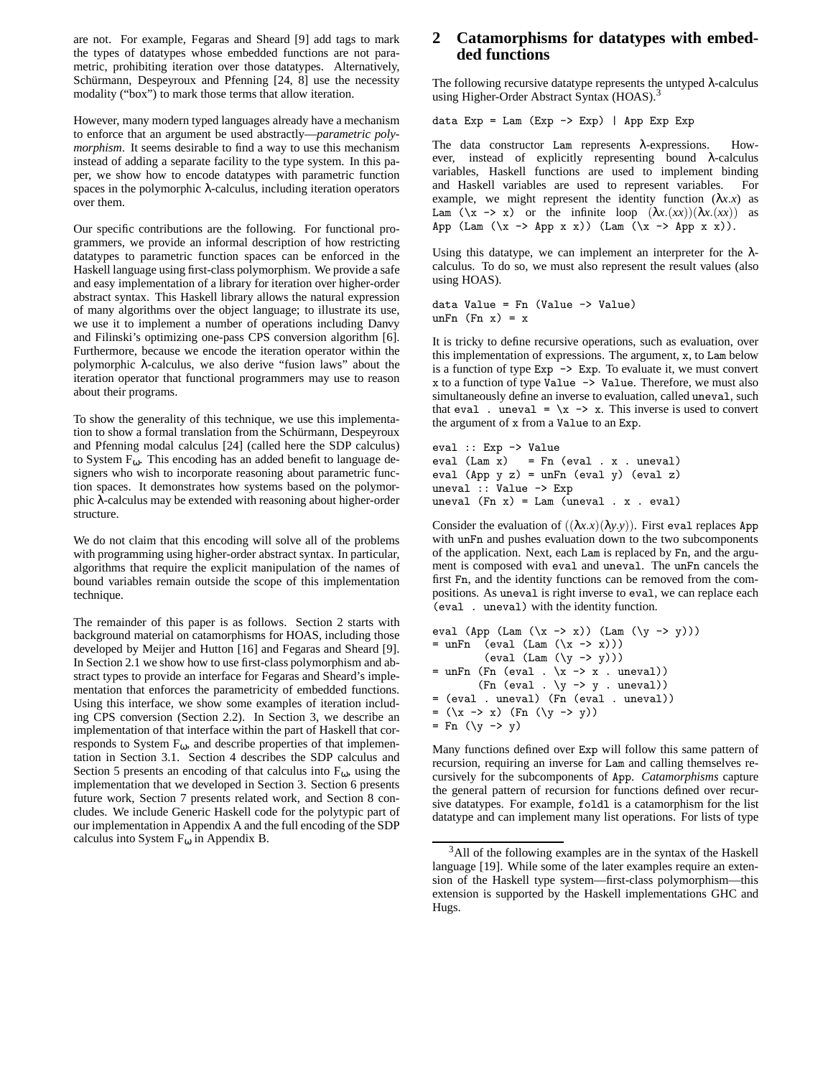are not. For example, Fegaras and Sheard [9] add tags to mark the types of datatypes whose embedded functions are not parametric, prohibiting iteration over those datatypes. Alternatively, Schürmann, Despeyroux and Pfenning [24, 8] use the necessity modality ("box") to mark those terms that allow iteration.

However, many modern typed languages already have a mechanism to enforce that an argument be used abstractly—*parametric polymorphism*. It seems desirable to find a way to use this mechanism instead of adding a separate facility to the type system. In this paper, we show how to encode datatypes with parametric function spaces in the polymorphic λ-calculus, including iteration operators over them.

Our specific contributions are the following. For functional programmers, we provide an informal description of how restricting datatypes to parametric function spaces can be enforced in the Haskell language using first-class polymorphism. We provide a safe and easy implementation of a library for iteration over higher-order abstract syntax. This Haskell library allows the natural expression of many algorithms over the object language; to illustrate its use, we use it to implement a number of operations including Danvy and Filinski's optimizing one-pass CPS conversion algorithm [6]. Furthermore, because we encode the iteration operator within the polymorphic λ-calculus, we also derive "fusion laws" about the iteration operator that functional programmers may use to reason about their programs.

To show the generality of this technique, we use this implementation to show a formal translation from the Schürmann, Despeyroux and Pfenning modal calculus [24] (called here the SDP calculus) to System  $F_{\omega}$ . This encoding has an added benefit to language designers who wish to incorporate reasoning about parametric function spaces. It demonstrates how systems based on the polymorphic λ-calculus may be extended with reasoning about higher-order structure.

We do not claim that this encoding will solve all of the problems with programming using higher-order abstract syntax. In particular, algorithms that require the explicit manipulation of the names of bound variables remain outside the scope of this implementation technique.

The remainder of this paper is as follows. Section 2 starts with background material on catamorphisms for HOAS, including those developed by Meijer and Hutton [16] and Fegaras and Sheard [9]. In Section 2.1 we show how to use first-class polymorphism and abstract types to provide an interface for Fegaras and Sheard's implementation that enforces the parametricity of embedded functions. Using this interface, we show some examples of iteration including CPS conversion (Section 2.2). In Section 3, we describe an implementation of that interface within the part of Haskell that corresponds to System  $F_{\omega}$ , and describe properties of that implementation in Section 3.1. Section 4 describes the SDP calculus and Section 5 presents an encoding of that calculus into  $F_{\omega}$ , using the implementation that we developed in Section 3. Section 6 presents future work, Section 7 presents related work, and Section 8 concludes. We include Generic Haskell code for the polytypic part of our implementation in Appendix A and the full encoding of the SDP calculus into System  $F_{\omega}$  in Appendix B.

## **2 Catamorphisms for datatypes with embedded functions**

The following recursive datatype represents the untyped  $\lambda$ -calculus using Higher-Order Abstract Syntax (HOAS).<sup>3</sup>

data  $Exp = Lam (Exp -> Exp)$  | App  $Exp Exp$ 

The data constructor Lam represents λ-expressions. However, instead of explicitly representing bound λ-calculus variables, Haskell functions are used to implement binding and Haskell variables are used to represent variables. For example, we might represent the identity function  $(\lambda x.x)$  as Lam  $(\lambda x \rightarrow x)$  or the infinite loop  $(\lambda x.(xx))(\lambda x.(xx))$  as App (Lam  $(\x \rightarrow$  App x x)) (Lam  $(\x \rightarrow$  App x x)).

Using this datatype, we can implement an interpreter for the  $\lambda$ calculus. To do so, we must also represent the result values (also using HOAS).

data Value = Fn (Value -> Value) unFn  $(Fn x) = x$ 

It is tricky to define recursive operations, such as evaluation, over this implementation of expressions. The argument, x, to Lam below is a function of type  $Exp \rightarrow Exp$ . To evaluate it, we must convert x to a function of type Value -> Value. Therefore, we must also simultaneously define an inverse to evaluation, called uneval, such that eval . uneval =  $\langle x \rangle$  -> x. This inverse is used to convert the argument of x from a Value to an Exp.

```
eval :: Exp -> Value
eval (Lam x) = Fn (eval x. uneval)
eval (App y z) = unFn (eval y) (eval z)
uneval :: Value -> Exp
uneval (Fn x) = Lam (uneval . x . eval)
```
Consider the evaluation of  $((\lambda x.x)(\lambda y.y))$ . First eval replaces App with unFn and pushes evaluation down to the two subcomponents of the application. Next, each Lam is replaced by Fn, and the argument is composed with eval and uneval. The unFn cancels the first Fn, and the identity functions can be removed from the compositions. As uneval is right inverse to eval, we can replace each (eval . uneval) with the identity function.

```
eval (App (Lam (\x \rightarrow x)) (Lam (\y \rightarrow y)))
= unFn (eval (Lam (\x \rightarrow x)))
           (eval (Lam (\y \rightarrow y)))
= unFn (Fn (eval . \chi \rightarrow x . uneval))
         (Fn (eval . \y \rightarrow y . uneval))
= (eval . uneval) (Fn (eval . uneval))
= (\x \rightarrow x) (Fn (\y \rightarrow y))= Fn (\y \rightarrow y)
```
Many functions defined over Exp will follow this same pattern of recursion, requiring an inverse for Lam and calling themselves recursively for the subcomponents of App. *Catamorphisms* capture the general pattern of recursion for functions defined over recursive datatypes. For example, foldl is a catamorphism for the list datatype and can implement many list operations. For lists of type

<sup>&</sup>lt;sup>3</sup>All of the following examples are in the syntax of the Haskell language [19]. While some of the later examples require an extension of the Haskell type system—first-class polymorphism—this extension is supported by the Haskell implementations GHC and Hugs.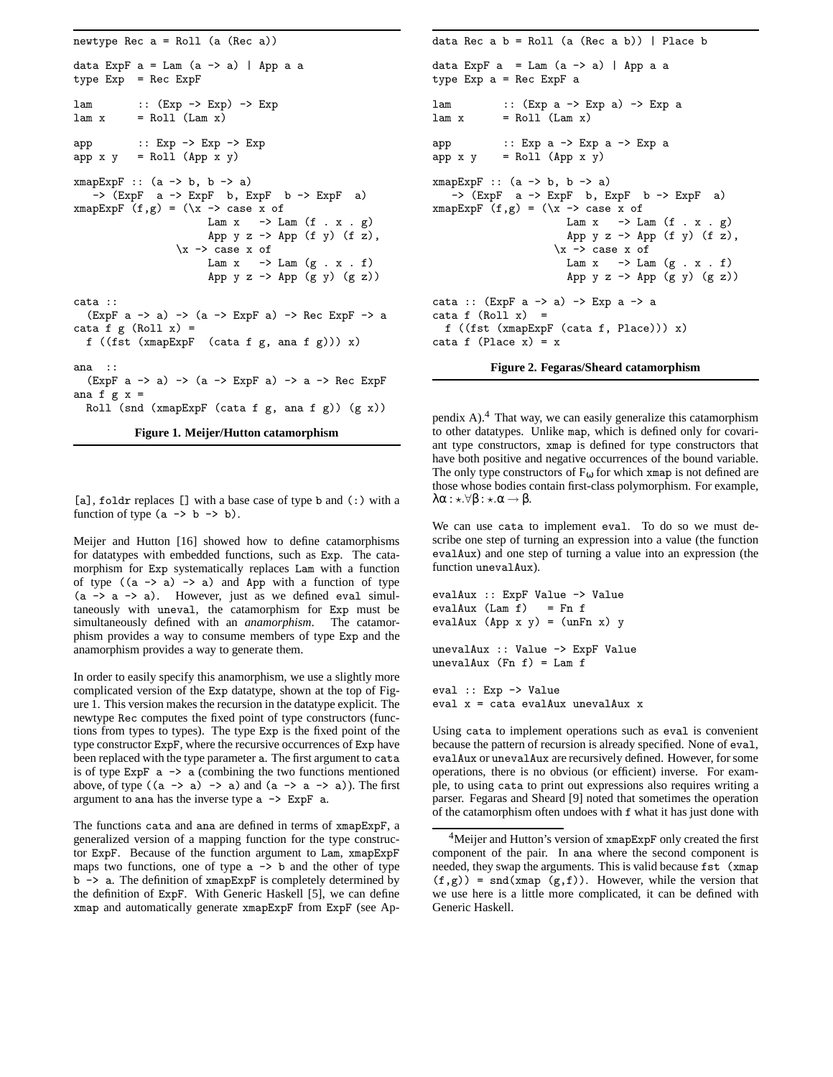```
newtype Rec a = Roll (a (Rec a))
data ExpF a = Lam (a \rightarrow a) | App a a
type Exp = Rec ExpFlam :: (Exp -> Exp) -> Exp
lam x = Roll (Lam x)app :: Exp -> Exp -> Exp
app x y = Roll (App x y)xmapExpF :: (a \rightarrow b, b \rightarrow a)\rightarrow (ExpF a \rightarrow ExpF b, ExpF b \rightarrow ExpF a)
xmapExpF (f,g) = (\xrightarrow{x} \neg case x of
                         Lam x \rightarrow Lam (f \cdot x \cdot g)App y z \rightarrow App (f y) (f z),
                   \langle x \rangle -> case x of
                        Lam x \rightarrow Lam (g \cdot x \cdot f)App y z \rightarrow App (g \, y) (g \, z)cata ::
  (ExpF a -> a) -> (a -> ExpF a) -> Rec ExpF -> a
cata f g (Roll x) =
  f ((fst (xmapExpF (cata f g, ana f g))) x)
ana ::
  (ExpF a \rightarrow a) \rightarrow (a \rightarrow ExpF a) \rightarrow a \rightarrow Rec ExpFana f g x =Roll (snd (xmapExpF (cata f g, ana f g)) (g x))
           Figure 1. Meijer/Hutton catamorphism
```
[a], foldr replaces [] with a base case of type b and (:) with a function of type  $(a \rightarrow b \rightarrow b)$ .

Meijer and Hutton [16] showed how to define catamorphisms for datatypes with embedded functions, such as Exp. The catamorphism for Exp systematically replaces Lam with a function of type  $((a \rightarrow a) \rightarrow a)$  and App with a function of type  $(a \rightarrow a \rightarrow a)$ . However, just as we defined eval simultaneously with uneval, the catamorphism for Exp must be simultaneously defined with an *anamorphism*. The catamorphism provides a way to consume members of type Exp and the anamorphism provides a way to generate them.

In order to easily specify this anamorphism, we use a slightly more complicated version of the Exp datatype, shown at the top of Figure 1. This version makes the recursion in the datatype explicit. The newtype Rec computes the fixed point of type constructors (functions from types to types). The type Exp is the fixed point of the type constructor ExpF, where the recursive occurrences of Exp have been replaced with the type parameter a. The first argument to cata is of type ExpF  $a \rightarrow a$  (combining the two functions mentioned above, of type  $((a \rightarrow a) \rightarrow a)$  and  $(a \rightarrow a \rightarrow a)$ . The first argument to ana has the inverse type a -> ExpF a.

The functions cata and ana are defined in terms of xmapExpF, a generalized version of a mapping function for the type constructor ExpF. Because of the function argument to Lam, xmapExpF maps two functions, one of type  $a \rightarrow b$  and the other of type b -> a. The definition of xmapExpF is completely determined by the definition of ExpF. With Generic Haskell [5], we can define xmap and automatically generate xmapExpF from ExpF (see Apdata Rec a  $b = Rol1$  (a (Rec a b)) | Place b data ExpF  $a = Lam$   $(a \rightarrow a)$  | App  $a$  a type Exp a = Rec ExpF a lam :: (Exp a -> Exp a) -> Exp a  $lam x = Roll (Lam x)$ app :: Exp a -> Exp a -> Exp a  $app x y = Roll (App x y)$ xmapExpF ::  $(a \rightarrow b, b \rightarrow a)$ ->  $(\text{ExpF} \quad a \rightarrow \text{ExpF} \quad b, \text{ ExpF} \quad b \rightarrow \text{ExpF} \quad a)$ xmapExpF  $(f,g) = (\xrightarrow{x} \neg$  case x of Lam  $x \rightarrow$  Lam  $(f \cdot x \cdot g)$ App  $y$  z  $\rightarrow$  App (f  $y$ ) (f  $z$ ),  $\langle x \rangle$  -> case x of Lam  $x \rightarrow$  Lam  $(g \cdot x \cdot f)$ App  $y$  z  $\rightarrow$  App  $(g \, y)$   $(g \, z)$ ) cata :: (ExpF a -> a) -> Exp a -> a cata  $f$  (Roll  $x$ ) f ((fst (xmapExpF (cata f, Place))) x) cata f (Place  $x$ ) =  $x$ **Figure 2. Fegaras/Sheard catamorphism**

pendix A).<sup>4</sup> That way, we can easily generalize this catamorphism to other datatypes. Unlike map, which is defined only for covariant type constructors, xmap is defined for type constructors that have both positive and negative occurrences of the bound variable. The only type constructors of  $F_{\omega}$  for which xmap is not defined are those whose bodies contain first-class polymorphism. For example,  $\lambda \alpha : \star \mathcal{A} \beta : \star \mathcal{A} \rightarrow \beta.$ 

We can use cata to implement eval. To do so we must describe one step of turning an expression into a value (the function evalAux) and one step of turning a value into an expression (the function unevalAux).

```
evalAux :: ExpF Value -> Value
evalAux (Lam f) = Fn fevalAux (App \times y) = (unFn \times) yunevalAux :: Value -> ExpF Value
```
unevalAux  $(Fn f) = Lam f$ 

eval :: Exp -> Value eval x = cata evalAux unevalAux x

Using cata to implement operations such as eval is convenient because the pattern of recursion is already specified. None of eval, evalAux or unevalAux are recursively defined. However, forsome operations, there is no obvious (or efficient) inverse. For example, to using cata to print out expressions also requires writing a parser. Fegaras and Sheard [9] noted that sometimes the operation of the catamorphism often undoes with f what it has just done with

<sup>&</sup>lt;sup>4</sup>Meijer and Hutton's version of xmapExpF only created the first component of the pair. In ana where the second component is needed, they swap the arguments. This is valid because fst (xmap  $(f,g)$  = snd(xmap  $(g,f)$ ). However, while the version that we use here is a little more complicated, it can be defined with Generic Haskell.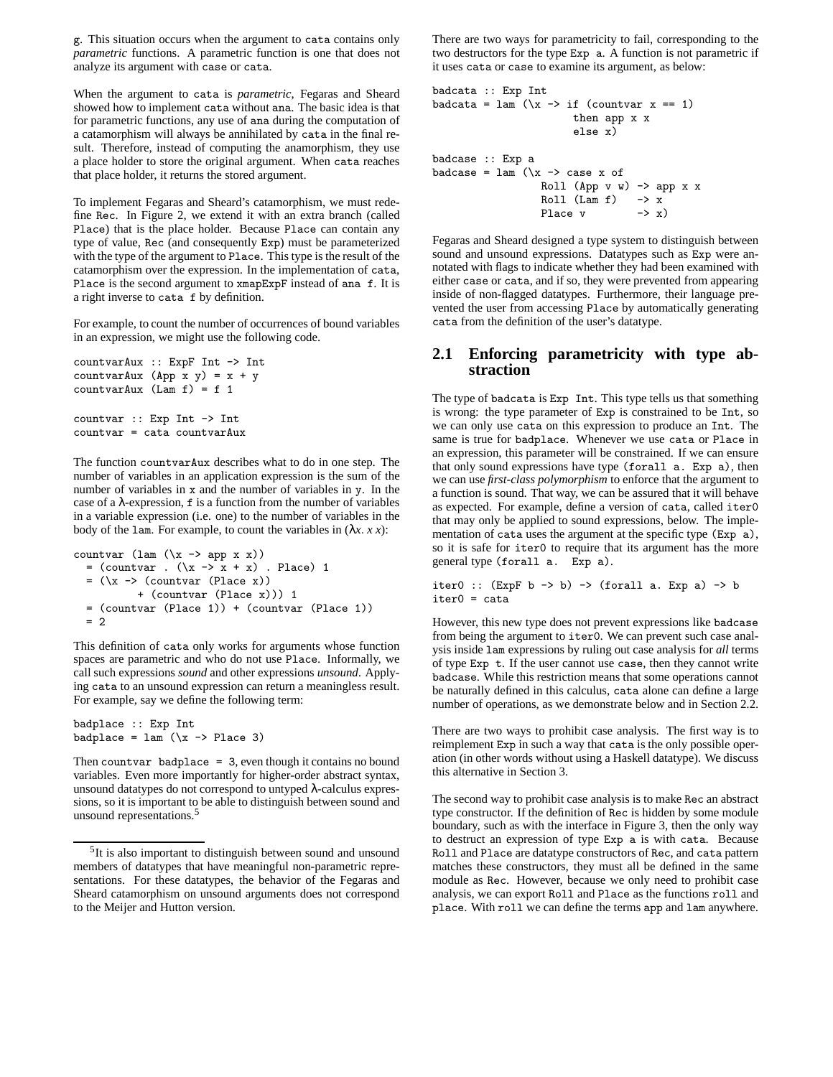g. This situation occurs when the argument to cata contains only *parametric* functions. A parametric function is one that does not analyze its argument with case or cata.

When the argument to cata is *parametric*, Fegaras and Sheard showed how to implement cata without ana. The basic idea is that for parametric functions, any use of ana during the computation of a catamorphism will always be annihilated by cata in the final result. Therefore, instead of computing the anamorphism, they use a place holder to store the original argument. When cata reaches that place holder, it returns the stored argument.

To implement Fegaras and Sheard's catamorphism, we must redefine Rec. In Figure 2, we extend it with an extra branch (called Place) that is the place holder. Because Place can contain any type of value, Rec (and consequently Exp) must be parameterized with the type of the argument to Place. This type is the result of the catamorphism over the expression. In the implementation of cata, Place is the second argument to xmapExpF instead of ana f. It is a right inverse to cata f by definition.

For example, to count the number of occurrences of bound variables in an expression, we might use the following code.

```
countvarAux :: ExpF Int -> Int
countvarAux (App x y) = x + ycountvarAux (Lam f) = f 1countvar :: Exp Int -> Int
countvar = cata countvarAux
```
The function countvarAux describes what to do in one step. The number of variables in an application expression is the sum of the number of variables in x and the number of variables in y. In the case of a  $\lambda$ -expression, f is a function from the number of variables in a variable expression (i.e. one) to the number of variables in the body of the lam. For example, to count the variables in  $(\lambda x. x x)$ :

```
countvar (\tan (\x + x) app x x)= (countvar . (\x \rightarrow x + x) . Place) 1
  = (\x \rightarrow (countvar (Place x))
          + (countvar (Place x))) 1
 = (countvar (Place 1)) + (countvar (Place 1))
 = 2
```
This definition of cata only works for arguments whose function spaces are parametric and who do not use Place. Informally, we call such expressions *sound* and other expressions *unsound*. Applying cata to an unsound expression can return a meaningless result. For example, say we define the following term:

```
badplace :: Exp Int
badplace = lam (\x \rightarrow Place 3)
```
Then countvar badplace  $= 3$ , even though it contains no bound variables. Even more importantly for higher-order abstract syntax, unsound datatypes do not correspond to untyped λ-calculus expressions, so it is important to be able to distinguish between sound and unsound representations.<sup>5</sup>

There are two ways for parametricity to fail, corresponding to the two destructors for the type Exp a. A function is not parametric if it uses cata or case to examine its argument, as below:

```
badcata :: Exp Int
badcata = lam \ (\x \rightarrow if \ (countvar \ x == 1)then app x x
                         else x)
badcase :: Exp a
badcase = lam (\x \rightarrow case x ofRoll (App v w) -> app x xRoll (Lam f) \rightarrow xPlace v \rightarrow x)
```
Fegaras and Sheard designed a type system to distinguish between sound and unsound expressions. Datatypes such as Exp were annotated with flags to indicate whether they had been examined with either case or cata, and if so, they were prevented from appearing inside of non-flagged datatypes. Furthermore, their language prevented the user from accessing Place by automatically generating cata from the definition of the user's datatype.

## **2.1 Enforcing parametricity with type abstraction**

The type of badcata is Exp Int. This type tells us that something is wrong: the type parameter of Exp is constrained to be Int, so we can only use cata on this expression to produce an Int. The same is true for badplace. Whenever we use cata or Place in an expression, this parameter will be constrained. If we can ensure that only sound expressions have type (forall a. Exp a), then we can use *first-class polymorphism* to enforce that the argument to a function is sound. That way, we can be assured that it will behave as expected. For example, define a version of cata, called iter0 that may only be applied to sound expressions, below. The implementation of cata uses the argument at the specific type (Exp a), so it is safe for iter0 to require that its argument has the more general type (forall a. Exp a).

```
iter0 :: (\text{ExpF } b \rightarrow b) \rightarrow (\text{for all } a. \text{Exp } a) \rightarrow biter0 = cata
```
However, this new type does not prevent expressions like badcase from being the argument to iter0. We can prevent such case analysis inside lam expressions by ruling out case analysis for *all* terms of type Exp t. If the user cannot use case, then they cannot write badcase. While this restriction means that some operations cannot be naturally defined in this calculus, cata alone can define a large number of operations, as we demonstrate below and in Section 2.2.

There are two ways to prohibit case analysis. The first way is to reimplement Exp in such a way that cata is the only possible operation (in other words without using a Haskell datatype). We discuss this alternative in Section 3.

The second way to prohibit case analysis is to make Rec an abstract type constructor. If the definition of Rec is hidden by some module boundary, such as with the interface in Figure 3, then the only way to destruct an expression of type Exp a is with cata. Because Roll and Place are datatype constructors of Rec, and cata pattern matches these constructors, they must all be defined in the same module as Rec. However, because we only need to prohibit case analysis, we can export Roll and Place as the functions roll and place. With roll we can define the terms app and lam anywhere.

<sup>&</sup>lt;sup>5</sup>It is also important to distinguish between sound and unsound members of datatypes that have meaningful non-parametric representations. For these datatypes, the behavior of the Fegaras and Sheard catamorphism on unsound arguments does not correspond to the Meijer and Hutton version.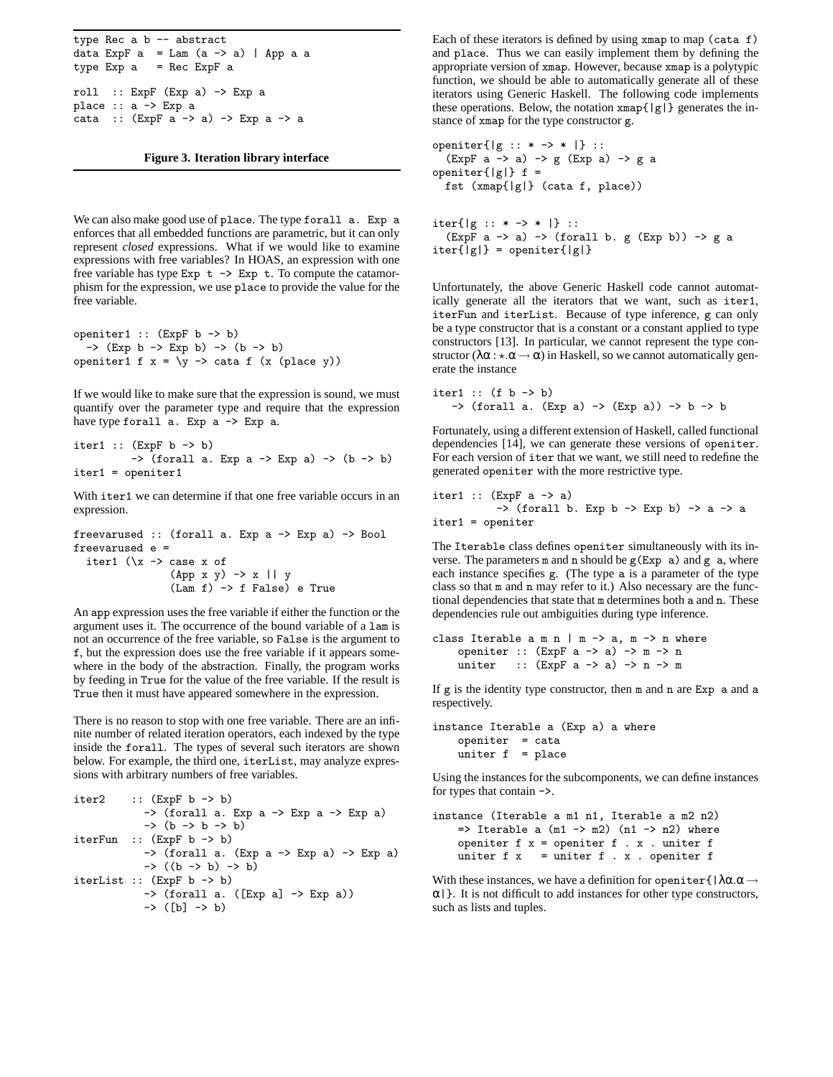```
type Rec a b -- abstract
data ExpF a = Lam (a \rightarrow a) | App a a
type Exp a = Rec ExpF aroll :: ExpF (Exp a) -> Exp a
place : a \rightarrow Exp acata :: (ExpF a -> a) -> Exp a -> a
```
#### **Figure 3. Iteration library interface**

We can also make good use of place. The type forall a. Exp a enforces that all embedded functions are parametric, but it can only represent *closed* expressions. What if we would like to examine expressions with free variables? In HOAS, an expression with one free variable has type Exp  $t \rightarrow$  Exp  $t$ . To compute the catamorphism for the expression, we use place to provide the value for the free variable.

```
openiter1 :: (ExpF b \rightarrow b)\rightarrow (Exp b \rightarrow Exp b) \rightarrow (b \rightarrow b)
openiter1 f x = \y \rightarrow \text{cata } f(x) (place y))
```
If we would like to make sure that the expression is sound, we must quantify over the parameter type and require that the expression have type forall a. Exp a  $\rightarrow$  Exp a.

```
iter1 :: (ExpF b \rightarrow b)\rightarrow (forall a. Exp a \rightarrow Exp a) \rightarrow (b \rightarrow b)
iter1 = openiter1
```
With iter1 we can determine if that one free variable occurs in an expression.

freevarused :: (forall a. Exp a -> Exp a) -> Bool freevarused e = iter1  $(\x \rightarrow x$  case x of (App x y) -> x || y (Lam f) -> f False) e True

An app expression uses the free variable if either the function or the argument uses it. The occurrence of the bound variable of a lam is not an occurrence of the free variable, so False is the argument to f, but the expression does use the free variable if it appears somewhere in the body of the abstraction. Finally, the program works by feeding in True for the value of the free variable. If the result is True then it must have appeared somewhere in the expression.

There is no reason to stop with one free variable. There are an infinite number of related iteration operators, each indexed by the type inside the forall. The types of several such iterators are shown below. For example, the third one, iterList, may analyze expressions with arbitrary numbers of free variables.

```
iter2 :: (\text{ExpF } b \rightarrow b)-> (forall a. Exp a -> Exp a -> Exp a)
                \rightarrow (b \rightarrow b \rightarrow b)
iterFun :: (ExpF b -> b)
                \rightarrow (forall a. (Exp a \rightarrow Exp a) \rightarrow Exp a)
                \rightarrow ((b -> b) -> b)
iterList :: (ExpF b -> b)
                \rightarrow (forall a. ([Exp a] \rightarrow Exp a))
                \rightarrow ([b] \rightarrow b)
```
Each of these iterators is defined by using xmap to map (cata f) and place. Thus we can easily implement them by defining the appropriate version of xmap. However, because xmap is a polytypic function, we should be able to automatically generate all of these iterators using Generic Haskell. The following code implements these operations. Below, the notation xmap{|g|} generates the instance of xmap for the type constructor g.

```
openiter{ |g : : * -> * | } ::(ExpF a \rightarrow a) \rightarrow g (Exp a) \rightarrow g aopeniter\{|g|\} f =
  fst (xmap{|g|} (cata f, place))
```

```
iter{|g :: * -> * |} ::
  (ExpF a \rightarrow a) \rightarrow (forall b. g (Exp b)) \rightarrow g a
iter{ |g| } = operator{ |g| }
```
Unfortunately, the above Generic Haskell code cannot automatically generate all the iterators that we want, such as iter1, iterFun and iterList. Because of type inference, g can only be a type constructor that is a constant or a constant applied to type constructors [13]. In particular, we cannot represent the type constructor ( $\lambda \alpha : \mathcal{A} \to \alpha$ ) in Haskell, so we cannot automatically generate the instance

```
iter1 :: (f b -> b)
    \rightarrow (forall a. (Exp a) \rightarrow (Exp a)) \rightarrow b \rightarrow b
```
Fortunately, using a different extension of Haskell, called functional dependencies [14], we can generate these versions of openiter. For each version of iter that we want, we still need to redefine the generated openiter with the more restrictive type.

```
iter1 :: (ExpF a \rightarrow a)\rightarrow (forall b. Exp b \rightarrow Exp b) \rightarrow a \rightarrow a
iter1 = openiter
```
The Iterable class defines openiter simultaneously with its inverse. The parameters  $m$  and  $n$  should be  $g$  (Exp a) and  $g$  a, where each instance specifies g. (The type a is a parameter of the type class so that m and n may refer to it.) Also necessary are the functional dependencies that state that m determines both a and n. These dependencies rule out ambiguities during type inference.

```
class Iterable a m n \mid m \rightarrow a, m \rightarrow n where
       openiter :: (\text{ExpF a} \rightarrow a) \rightarrow m \rightarrow nuniter :: (\text{ExpF a} \rightarrow a) \rightarrow n \rightarrow m
```
If g is the identity type constructor, then m and n are Exp a and a respectively.

```
instance Iterable a (Exp a) a where
   openiter = cata
   uniter f =place
```
Using the instances for the subcomponents, we can define instances for types that contain ->.

```
instance (Iterable a m1 n1, Iterable a m2 n2)
    \Rightarrow Iterable a (m1 \rightarrow m2) (n1 \rightarrow n2) where
    openiter f \times = openiter f \times x. uniter funiter f(x) = uniter f(x), x, openiter f(x)
```
With these instances, we have a definition for openiter { $\lambda \alpha \rightarrow$  $\alpha$ |}. It is not difficult to add instances for other type constructors, such as lists and tuples.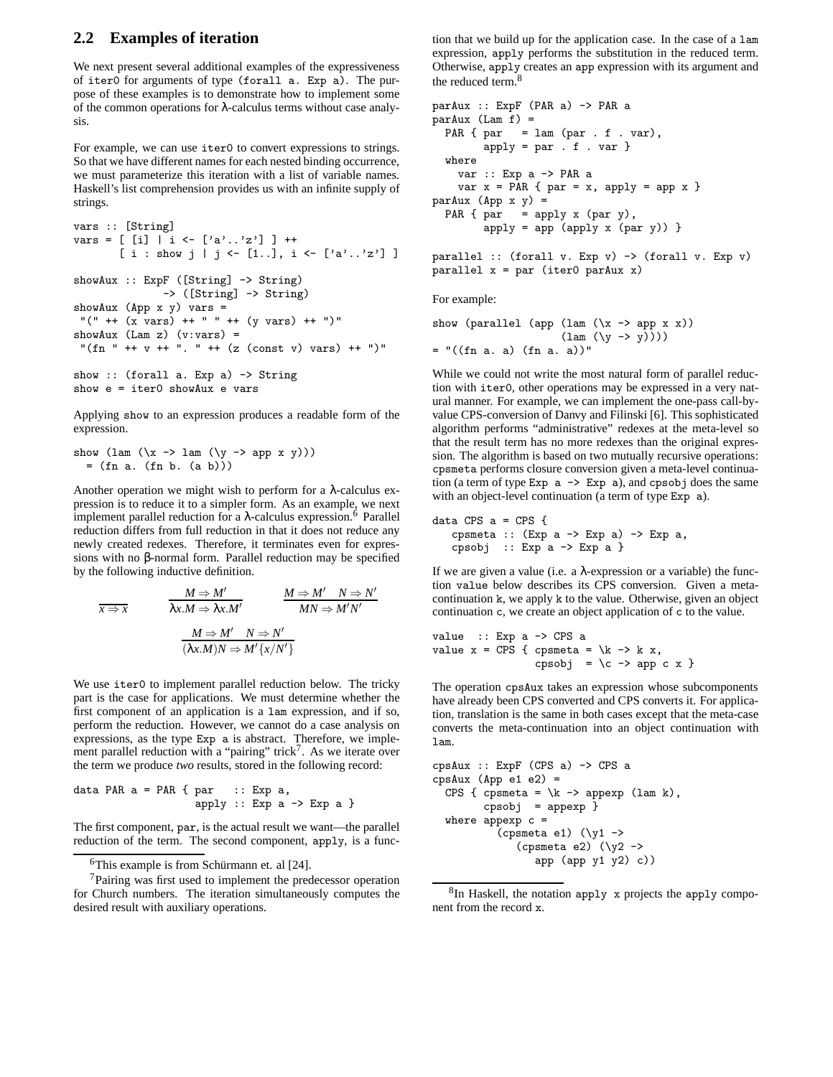## **2.2 Examples of iteration**

We next present several additional examples of the expressiveness of iter0 for arguments of type (forall a. Exp a). The purpose of these examples is to demonstrate how to implement some of the common operations for λ-calculus terms without case analysis.

For example, we can use iter0 to convert expressions to strings. So that we have different names for each nested binding occurrence, we must parameterize this iteration with a list of variable names. Haskell's list comprehension provides us with an infinite supply of strings.

```
vars :: [String]
vars = [ [i] | i \leftarrow [ 'a' ... 'z' ] ] +[ i : show j | j <- [1..], i <- ['a'..'z'] ]
showAux :: ExpF ([String] -> String)
               -> ([String] -> String)
showAux (App x y) vars =
 "(" + (x \text{ vars}) + + " " + (y \text{ vars}) + + ")"showAux (Lam z) (v:vars) =
 "({\rm fn} "++ v++". "++ (z (const v) vars) ++")"show :: (forall a. Exp a) -> String
show e = iter0 showAux e vars
```
Applying show to an expression produces a readable form of the expression.

```
show (lam (\x \rightarrow \text{lam } (\y \rightarrow \text{ app } x y)))= (fn a. (fn b. (a b)))
```
Another operation we might wish to perform for a  $\lambda$ -calculus expression is to reduce it to a simpler form. As an example, we next implement parallel reduction for a  $\lambda$ -calculus expression.<sup>6</sup> Parallel reduction differs from full reduction in that it does not reduce any newly created redexes. Therefore, it terminates even for expressions with no β-normal form. Parallel reduction may be specified by the following inductive definition.

$$
\frac{M \Rightarrow M'}{\lambda x.M} \qquad \frac{M \Rightarrow M' \quad N \Rightarrow N'}{MN \Rightarrow M'N'}
$$
\n
$$
\frac{M \Rightarrow M' \quad N \Rightarrow M'N'}{(\lambda x.M)N \Rightarrow M' \{x/N'\}}
$$

We use iter0 to implement parallel reduction below. The tricky part is the case for applications. We must determine whether the first component of an application is a lam expression, and if so, perform the reduction. However, we cannot do a case analysis on expressions, as the type Exp a is abstract. Therefore, we implement parallel reduction with a "pairing" trick<sup>7</sup>. As we iterate over the term we produce *two* results, stored in the following record:

```
data PAR a = PAR \{ par : Exp a,apply :: Exp a \rightarrow Exp a }
```
The first component, par, is the actual result we want—the parallel reduction of the term. The second component, apply, is a function that we build up for the application case. In the case of a lam expression, apply performs the substitution in the reduced term. Otherwise, apply creates an app expression with its argument and the reduced term.<sup>8</sup>

```
parAux :: ExpF (PAR a) -> PAR a
parAux (Lam f) =PAR \{ par = lam (par . f . var),\}apply = par : f : varwhere
   var :: Exp a -> PAR a
    var x = PAR { par = x, apply = app x }
parAux (App x y) =PAR \{ par = apply x (par y),\}apply = app (apply x (par y))parallel :: (forall v. Exp v) -> (forall v. Exp v)
parallel x = par (iter0 parAux x)
```
For example:

```
show (parallel (app (lam (\xrightarrow x \rightarrow app x x))
                             (\text{lam } (\y \rightarrow y)))= "((fn a. a) (fn a. a))"
```
While we could not write the most natural form of parallel reduction with iter0, other operations may be expressed in a very natural manner. For example, we can implement the one-pass call-byvalue CPS-conversion of Danvy and Filinski [6]. This sophisticated algorithm performs "administrative" redexes at the meta-level so that the result term has no more redexes than the original expression. The algorithm is based on two mutually recursive operations: cpsmeta performs closure conversion given a meta-level continuation (a term of type Exp  $a \rightarrow Exp$  a), and cpsobj does the same with an object-level continuation (a term of type Exp a).

```
data CPS a = CPS {
    cpsmeta :: (\text{Exp } a \rightarrow \text{Exp } a) \rightarrow \text{Exp } a,
    cpsobj :: Exp a -> Exp a }
```
If we are given a value (i.e. a  $\lambda$ -expression or a variable) the function value below describes its CPS conversion. Given a metacontinuation k, we apply k to the value. Otherwise, given an object continuation c, we create an object application of c to the value.

```
value :: Exp a -> CPS a
value x = CPS { cpsmeta = \k -> k x,
                cpsobj = \csc -> app c x }
```
The operation cpsAux takes an expression whose subcomponents have already been CPS converted and CPS converts it. For application, translation is the same in both cases except that the meta-case converts the meta-continuation into an object continuation with lam.

```
cpsAux :: ExpF (CPS a) -> CPS a
cpsAux (App e1 e2) =CPS { cpsmeta = \kappa -> appexp (lam k),
        cpsobj = appexp }
 where appexp c =
          (cpsmeta e1) (\y1 -(cpsmeta e2) (\y2 -\)app (app y1 y2) c))
```
<sup>&</sup>lt;sup>6</sup>This example is from Schürmann et. al  $[24]$ .

<sup>7</sup>Pairing was first used to implement the predecessor operation for Church numbers. The iteration simultaneously computes the desired result with auxiliary operations.

<sup>&</sup>lt;sup>8</sup>In Haskell, the notation apply x projects the apply component from the record x.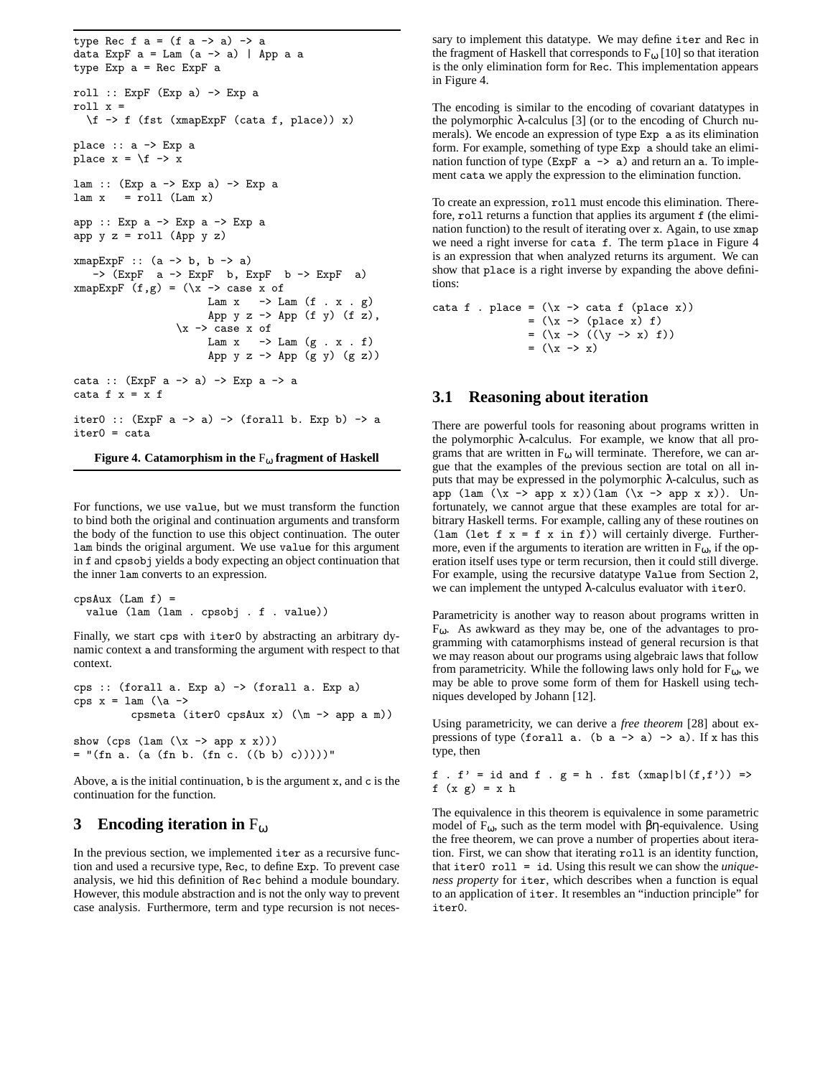```
type Rec f a = (f a \rightarrow a) \rightarrow adata ExpF a = Lam (a \rightarrow a) | App a a
type Exp a = Rec ExpF a
roll :: ExpF (Exp a) \rightarrow Exp aroll x =
  \f -> f (fst (xmapExpF (cata f, place)) x)
place :: a -> Exp a
place x = \{f \rightarrow xlam :: (Exp a -> Exp a) -> Exp a
lam x = roll (Lam x)app :: Exp a -> Exp a -> Exp a
app y = rol1 (App y = z)
xmapExpF :: (a \rightarrow b, b \rightarrow a)\rightarrow (ExpF a \rightarrow ExpF b, ExpF b \rightarrow ExpF a)
xmapExpF (f,g) = (\xrightarrow{x} \neg case x of
                           Lam x \rightarrow Lam (f \cdot x \cdot g)App y \, z \rightarrow App (f y) (f z),
                    \overline{x} -> case x of
                          Lam x \rightarrow Lam (g \cdot x \cdot f)App y z \rightarrow App (g \, y) (g \, z)cata :: (ExpF a -> a) -> Exp a -> a
cata f \times = x fiter0 :: (ExpF a \rightarrow a) \rightarrow (for all b. Exp b) \rightarrow aiter0 = cata
```


For functions, we use value, but we must transform the function to bind both the original and continuation arguments and transform the body of the function to use this object continuation. The outer lam binds the original argument. We use value for this argument in f and cpsobj yields a body expecting an object continuation that the inner lam converts to an expression.

```
cpsAux (Lam f) =
 value (lam (lam . cpsobj . f . value))
```
Finally, we start cps with iter0 by abstracting an arbitrary dynamic context a and transforming the argument with respect to that context.

```
cps :: (forall a. Exp a) -> (forall a. Exp a)
cps x = \text{lam} (\a -)cpsmeta (iter0 cpsAux x) (\m - > app a m))
show (cps (\tan (\x + x)))
= "(fn a. (a (fn b. (fn c. ((b b) c)))))"
```
Above, a is the initial continuation, b is the argument x, and c is the continuation for the function.

## **3 Encoding iteration in** F<sup>ω</sup>

In the previous section, we implemented iter as a recursive function and used a recursive type, Rec, to define Exp. To prevent case analysis, we hid this definition of Rec behind a module boundary. However, this module abstraction and is not the only way to prevent case analysis. Furthermore, term and type recursion is not necessary to implement this datatype. We may define iter and Rec in the fragment of Haskell that corresponds to  $F_{\omega}$  [10] so that iteration is the only elimination form for Rec. This implementation appears in Figure 4.

The encoding is similar to the encoding of covariant datatypes in the polymorphic  $\lambda$ -calculus [3] (or to the encoding of Church numerals). We encode an expression of type Exp a as its elimination form. For example, something of type Exp a should take an elimination function of type ( $ExpF$  a  $\rightarrow$  a) and return an a. To implement cata we apply the expression to the elimination function.

To create an expression, roll must encode this elimination. Therefore, roll returns a function that applies its argument f (the elimination function) to the result of iterating over x. Again, to use xmap we need a right inverse for cata f. The term place in Figure 4 is an expression that when analyzed returns its argument. We can show that place is a right inverse by expanding the above definitions:

```
cata f . place = (\x \rightarrow x \text{ data f } (place x))= (\x \rightarrow (place x) f)
                          = (\x \rightarrow (\x \vee y \rightarrow x) f))= (\xrightarrow x \rightarrow x)
```
### **3.1 Reasoning about iteration**

There are powerful tools for reasoning about programs written in the polymorphic λ-calculus. For example, we know that all programs that are written in  $F_{\omega}$  will terminate. Therefore, we can argue that the examples of the previous section are total on all inputs that may be expressed in the polymorphic  $\lambda$ -calculus, such as app (lam  $(\xrightarrow x)(\tan (\xrightarrow x)$ ) (lam  $(\xrightarrow x)$ ). Unfortunately, we cannot argue that these examples are total for arbitrary Haskell terms. For example, calling any of these routines on (lam (let  $f \times = f \times in f$ ) will certainly diverge. Furthermore, even if the arguments to iteration are written in  $F_{\omega}$ , if the operation itself uses type or term recursion, then it could still diverge. For example, using the recursive datatype Value from Section 2, we can implement the untyped λ-calculus evaluator with iter0.

Parametricity is another way to reason about programs written in  $F_{\omega}$ . As awkward as they may be, one of the advantages to programming with catamorphisms instead of general recursion is that we may reason about our programs using algebraic laws that follow from parametricity. While the following laws only hold for  $F_{\omega}$ , we may be able to prove some form of them for Haskell using techniques developed by Johann [12].

Using parametricity, we can derive a *free theorem* [28] about expressions of type (forall a. (b  $a \rightarrow a$ )  $\rightarrow a$ ). If x has this type, then

f .  $f' = id$  and f .  $g = h$  . fst  $(xmap|b|(f,f'))$  => f  $(x g) = x h$ 

The equivalence in this theorem is equivalence in some parametric model of  $F$ <sub>ω</sub>, such as the term model with βη-equivalence. Using the free theorem, we can prove a number of properties about iteration. First, we can show that iterating roll is an identity function, that iter0 roll = id. Using this result we can show the *uniqueness property* for iter, which describes when a function is equal to an application of iter. It resembles an "induction principle" for iter0.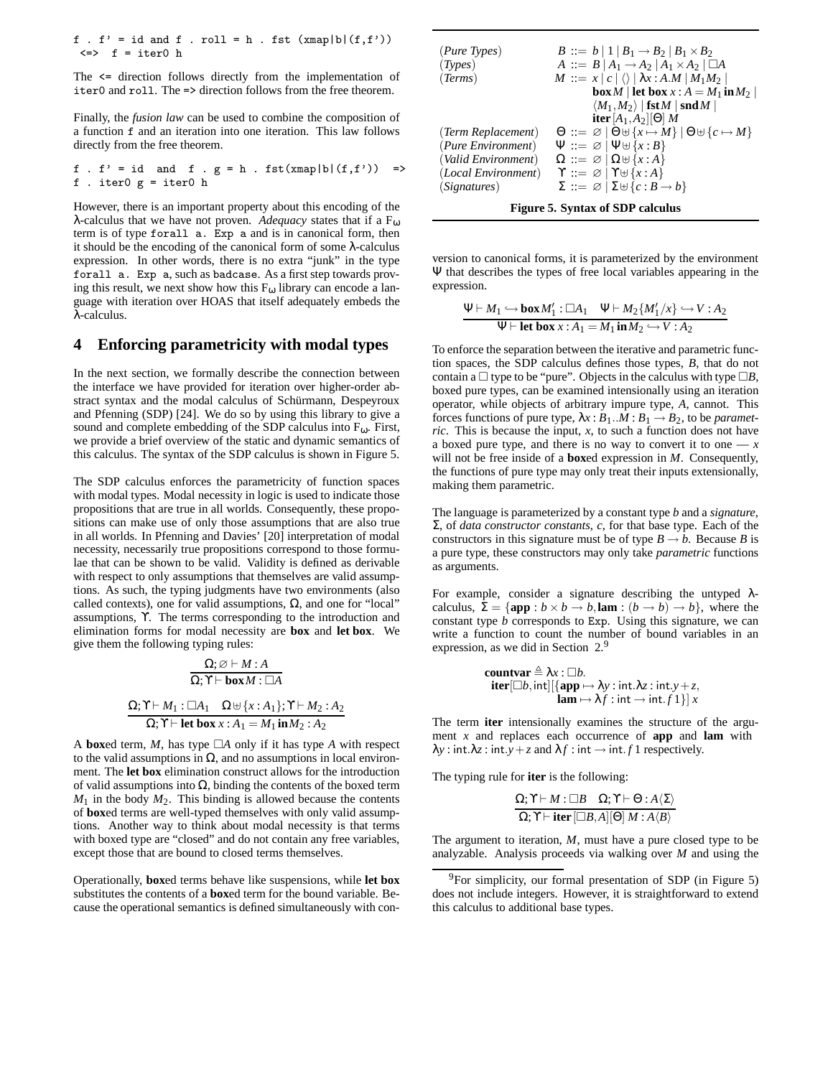f .  $f' = id$  and  $f$  .  $roll = h$  .  $fst$   $(xmap|b|(f,f'))$  $\leftarrow$  > f = iter0 h

The <= direction follows directly from the implementation of iter0 and roll. The => direction follows from the free theorem.

Finally, the *fusion law* can be used to combine the composition of a function f and an iteration into one iteration. This law follows directly from the free theorem.

f . f' = id and f . g = h . fst(xmap|b|(f,f')) => f . iter0 g = iter0 h

However, there is an important property about this encoding of the λ-calculus that we have not proven. *Adequacy* states that if a Fω term is of type forall a. Exp a and is in canonical form, then it should be the encoding of the canonical form of some  $\lambda$ -calculus expression. In other words, there is no extra "junk" in the type forall a. Exp a, such as badcase. As a first step towards proving this result, we next show how this  $F_{\omega}$  library can encode a language with iteration over HOAS that itself adequately embeds the λ-calculus.

#### **4 Enforcing parametricity with modal types**

In the next section, we formally describe the connection between the interface we have provided for iteration over higher-order abstract syntax and the modal calculus of Schürmann, Despeyroux and Pfenning (SDP) [24]. We do so by using this library to give a sound and complete embedding of the SDP calculus into  $F_{\omega}$ . First, we provide a brief overview of the static and dynamic semantics of this calculus. The syntax of the SDP calculus is shown in Figure 5.

The SDP calculus enforces the parametricity of function spaces with modal types. Modal necessity in logic is used to indicate those propositions that are true in all worlds. Consequently, these propositions can make use of only those assumptions that are also true in all worlds. In Pfenning and Davies' [20] interpretation of modal necessity, necessarily true propositions correspond to those formulae that can be shown to be valid. Validity is defined as derivable with respect to only assumptions that themselves are valid assumptions. As such, the typing judgments have two environments (also called contexts), one for valid assumptions,  $\Omega$ , and one for "local" assumptions, ϒ. The terms corresponding to the introduction and elimination forms for modal necessity are **box** and **let box**. We give them the following typing rules:

$$
\frac{\Omega; \varnothing \vdash M : A}{\Omega; \Upsilon \vdash \mathbf{box} M : \Box A}
$$

$$
\frac{\Omega; \Upsilon \vdash M_1 : \Box A_1 \quad \Omega \uplus \{x : A_1\}; \Upsilon \vdash M_2 : A_2}{\Omega; \Upsilon \vdash \mathbf{let box} x : A_1 = M_1 \mathbf{in} M_2 : A_2}
$$

A **box**ed term, *M*, has type  $\Box A$  only if it has type *A* with respect to the valid assumptions in  $\Omega$ , and no assumptions in local environment. The **let box** elimination construct allows for the introduction of valid assumptions into  $\Omega$ , binding the contents of the boxed term  $M_1$  in the body  $M_2$ . This binding is allowed because the contents of **box**ed terms are well-typed themselves with only valid assumptions. Another way to think about modal necessity is that terms with boxed type are "closed" and do not contain any free variables, except those that are bound to closed terms themselves.

Operationally, **box**ed terms behave like suspensions, while **let box** substitutes the contents of a **box**ed term for the bound variable. Because the operational semantics is defined simultaneously with con-

| ( <i>Pure Types</i> )<br>(Types)<br>(Terms)                                                                     | $B ::= b   1   B_1 \rightarrow B_2   B_1 \times B_2$<br>$A ::= B   A_1 \rightarrow A_2   A_1 \times A_2   \square A$<br>$M ::= x   c   \langle \rangle   \lambda x : A.M   M_1M_2  $<br>$\mathbf{box} M \mid \mathbf{let} \mathbf{box} x : A = M_1 \mathbf{in} M_2 \mid$                                                   |  |  |
|-----------------------------------------------------------------------------------------------------------------|----------------------------------------------------------------------------------------------------------------------------------------------------------------------------------------------------------------------------------------------------------------------------------------------------------------------------|--|--|
|                                                                                                                 | $\langle M_1, M_2 \rangle$   fst $M$   snd $M$  <br>iter $A_1, A_2$ $\Theta$ <i>M</i>                                                                                                                                                                                                                                      |  |  |
| (Term Replacement)<br>( <i>Pure Environment</i> )<br>(Valid Environment)<br>(Local Environment)<br>(Signatures) | $\Theta ::= \emptyset   \Theta \oplus \{x \mapsto M\}   \Theta \oplus \{c \mapsto M\}$<br>$\Psi ::= \emptyset   \Psi \uplus \{x : B\}$<br>$\Omega ::= \varnothing   \Omega \boxplus \{x:A\}$<br>$\Upsilon ::= \emptyset   \Upsilon \oplus \{x : A\}$<br>$\Sigma ::= \varnothing   \Sigma \boxplus \{c : B \rightarrow b\}$ |  |  |
| <b>Figure 5. Syntax of SDP calculus</b>                                                                         |                                                                                                                                                                                                                                                                                                                            |  |  |

version to canonical forms, it is parameterized by the environment Ψ that describes the types of free local variables appearing in the expression.

$$
\frac{\Psi \vdash M_1 \hookrightarrow \mathbf{box} M_1': \Box A_1 \quad \Psi \vdash M_2 \{M_1'/x\} \hookrightarrow V : A_2}{\Psi \vdash \mathbf{let\ box}\ x : A_1 = M_1 \mathbf{in} M_2 \hookrightarrow V : A_2}
$$

To enforce the separation between the iterative and parametric function spaces, the SDP calculus defines those types, *B*, that do not contain a  $\Box$  type to be "pure". Objects in the calculus with type  $\Box B$ , boxed pure types, can be examined intensionally using an iteration operator, while objects of arbitrary impure type, *A*, cannot. This forces functions of pure type,  $\lambda x : B_1 \cdot M : B_1 \rightarrow B_2$ , to be *parametric*. This is because the input, *x*, to such a function does not have a boxed pure type, and there is no way to convert it to one  $-x$ will not be free inside of a **box**ed expression in *M*. Consequently, the functions of pure type may only treat their inputs extensionally, making them parametric.

The language is parameterized by a constant type *b* and a *signature*, Σ, of *data constructor constants*, *c*, for that base type. Each of the constructors in this signature must be of type  $B \rightarrow b$ . Because *B* is a pure type, these constructors may only take *parametric* functions as arguments.

For example, consider a signature describing the untyped  $\lambda$ calculus,  $\Sigma = {\text{app} : b \times b \rightarrow b, \text{lam} : (b \rightarrow b) \rightarrow b}$ , where the constant type *b* corresponds to Exp. Using this signature, we can write a function to count the number of bound variables in an expression, as we did in Section 2.<sup>9</sup>

**counter** 
$$
\triangleq \lambda x : \square b
$$
.  
\n**iter**[ $\square b$ , **int**][{app  $\rightarrow \lambda y$ : **int**. $\lambda z$ : **int**. $y + z$ ,  
\n**lam**  $\rightarrow \lambda f$ : **int**  $\rightarrow$  **int**. $f$  1}]  $x$ 

The term **iter** intensionally examines the structure of the argument *x* and replaces each occurrence of **app** and **lam** with  $\lambda$ *y* : int. $\lambda$ *z* : int.*y* + *z* and  $\lambda$ *f* : int  $\rightarrow$  int.*f* 1 respectively.

The typing rule for **iter** is the following:

$$
\frac{\Omega; \Upsilon \vdash M : \Box B \quad \Omega; \Upsilon \vdash \Theta : A \langle \Sigma \rangle}{\Omega; \Upsilon \vdash \textbf{iter} [\Box B, A][\Theta] M : A \langle B \rangle}
$$

The argument to iteration, *M*, must have a pure closed type to be analyzable. Analysis proceeds via walking over *M* and using the

<sup>&</sup>lt;sup>9</sup>For simplicity, our formal presentation of SDP (in Figure 5) does not include integers. However, it is straightforward to extend this calculus to additional base types.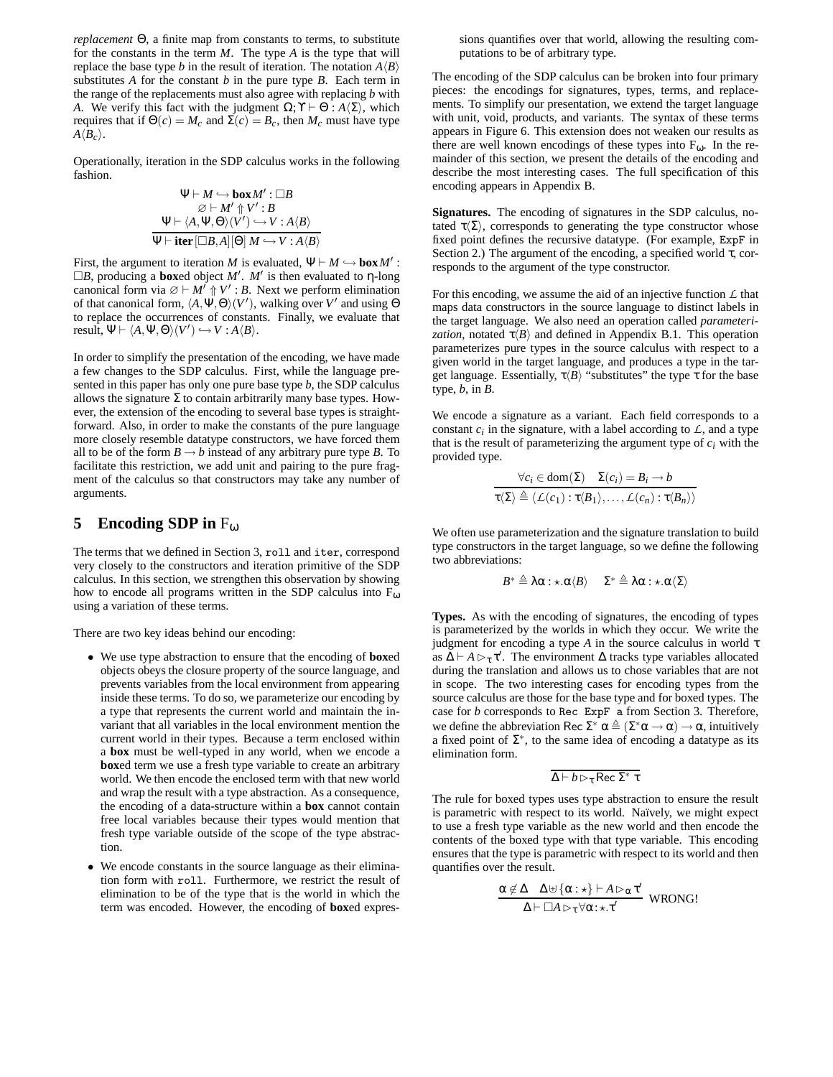*replacement* Θ, a finite map from constants to terms, to substitute for the constants in the term *M*. The type *A* is the type that will replace the base type *b* in the result of iteration. The notation  $A\langle B \rangle$ substitutes  $A$  for the constant  $b$  in the pure type  $B$ . Each term in the range of the replacements must also agree with replacing *b* with *A*. We verify this fact with the judgment  $\Omega$ ;  $\Upsilon \vdash \Theta : A\langle \Sigma \rangle$ , which requires that if  $Θ(c) = M_c$  and  $Σ(c) = B_c$ , then  $M_c$  must have type  $A\langle B_c \rangle$ .

Operationally, iteration in the SDP calculus works in the following fashion.

$$
\Psi \vdash M \hookrightarrow \mathbf{box} M': \Box B \n\varnothing \vdash M' \Uparrow V': B \n\Psi \vdash \langle A, \Psi, \Theta \rangle(V') \hookrightarrow V : A \langle B \rangle \n\Psi \vdash \mathbf{iter} [\Box B, A][\Theta] M \hookrightarrow V : A \langle B \rangle
$$

First, the argument to iteration *M* is evaluated,  $\Psi \vdash M \hookrightarrow \mathbf{box} M'$ :  $\Box B$ , producing a **box**ed object *M'*. *M'* is then evaluated to η-long canonical form via  $\varnothing \vdash M' \Uparrow V' : B$ . Next we perform elimination of that canonical form,  $\langle A, \Psi, \Theta \rangle (V')$ , walking over *V'* and using  $\Theta$ to replace the occurrences of constants. Finally, we evaluate that result,  $\Psi \vdash \langle A, \Psi, \Theta \rangle(V') \hookrightarrow V : A \langle B \rangle$ .

In order to simplify the presentation of the encoding, we have made a few changes to the SDP calculus. First, while the language presented in this paper has only one pure base type *b*, the SDP calculus allows the signature  $\Sigma$  to contain arbitrarily many base types. However, the extension of the encoding to several base types is straightforward. Also, in order to make the constants of the pure language more closely resemble datatype constructors, we have forced them all to be of the form  $B \rightarrow b$  instead of any arbitrary pure type *B*. To facilitate this restriction, we add unit and pairing to the pure fragment of the calculus so that constructors may take any number of arguments.

# **5 Encoding SDP in** F<sup>ω</sup>

The terms that we defined in Section 3, roll and iter, correspond very closely to the constructors and iteration primitive of the SDP calculus. In this section, we strengthen this observation by showing how to encode all programs written in the SDP calculus into  $F_{\omega}$ using a variation of these terms.

There are two key ideas behind our encoding:

- We use type abstraction to ensure that the encoding of **box**ed objects obeys the closure property of the source language, and prevents variables from the local environment from appearing inside these terms. To do so, we parameterize our encoding by a type that represents the current world and maintain the invariant that all variables in the local environment mention the current world in their types. Because a term enclosed within a **box** must be well-typed in any world, when we encode a **box**ed term we use a fresh type variable to create an arbitrary world. We then encode the enclosed term with that new world and wrap the result with a type abstraction. As a consequence, the encoding of a data-structure within a **box** cannot contain free local variables because their types would mention that fresh type variable outside of the scope of the type abstraction.
- We encode constants in the source language as their elimination form with roll. Furthermore, we restrict the result of elimination to be of the type that is the world in which the term was encoded. However, the encoding of **box**ed expres-

sions quantifies over that world, allowing the resulting computations to be of arbitrary type.

The encoding of the SDP calculus can be broken into four primary pieces: the encodings for signatures, types, terms, and replacements. To simplify our presentation, we extend the target language with unit, void, products, and variants. The syntax of these terms appears in Figure 6. This extension does not weaken our results as there are well known encodings of these types into  $F_{\omega}$ . In the remainder of this section, we present the details of the encoding and describe the most interesting cases. The full specification of this encoding appears in Appendix B.

**Signatures.** The encoding of signatures in the SDP calculus, notated  $\tau\langle\Sigma\rangle$ , corresponds to generating the type constructor whose fixed point defines the recursive datatype. (For example, ExpF in Section 2.) The argument of the encoding, a specified world τ, corresponds to the argument of the type constructor.

For this encoding, we assume the aid of an injective function *L* that maps data constructors in the source language to distinct labels in the target language. We also need an operation called *parameterization*, notated  $\tau \langle B \rangle$  and defined in Appendix B.1. This operation parameterizes pure types in the source calculus with respect to a given world in the target language, and produces a type in the target language. Essentially,  $\tau \langle B \rangle$  "substitutes" the type  $\tau$  for the base type, *b*, in *B*.

We encode a signature as a variant. Each field corresponds to a constant  $c_i$  in the signature, with a label according to  $L$ , and a type that is the result of parameterizing the argument type of  $c_i$  with the provided type.

$$
\frac{\forall c_i \in \text{dom}(\Sigma) \quad \Sigma(c_i) = B_i \rightarrow b}{\tau(\Sigma) \triangleq \langle L(c_1) : \tau(B_1), \dots, L(c_n) : \tau(B_n) \rangle}
$$

We often use parameterization and the signature translation to build type constructors in the target language, so we define the following two abbreviations:

$$
B^*\triangleq\lambda\alpha: \star.\alpha\langle B\rangle \hspace{0.5cm} \Sigma^*\triangleq\lambda\alpha: \star.\alpha\langle\Sigma\rangle
$$

**Types.** As with the encoding of signatures, the encoding of types is parameterized by the worlds in which they occur. We write the judgment for encoding a type *A* in the source calculus in world τ as  $\Delta \vdash A \rhd_{\tau} \tau'$ . The environment  $\Delta$  tracks type variables allocated during the translation and allows us to chose variables that are not in scope. The two interesting cases for encoding types from the source calculus are those for the base type and for boxed types. The case for *b* corresponds to Rec ExpF a from Section 3. Therefore, we define the abbreviation Rec  $\Sigma^* \alpha \triangleq (\Sigma^* \alpha \rightarrow \alpha) \rightarrow \alpha$ , intuitively a fixed point of  $\Sigma^*$ , to the same idea of encoding a datatype as its elimination form.

$$
\overline{\Delta \vdash b \rhd_{\tau} \mathsf{Rec}\, \Sigma^{*}\, \tau}
$$

The rule for boxed types uses type abstraction to ensure the result is parametric with respect to its world. Naïvely, we might expect to use a fresh type variable as the new world and then encode the contents of the boxed type with that type variable. This encoding ensures that the type is parametric with respect to its world and then quantifies over the result.

$$
\frac{\alpha \notin \Delta \quad \Delta \uplus \{\alpha : \star\} \vdash A \rhd_{\alpha} \tau'}{\Delta \vdash \Box A \rhd_{\tau} \forall \alpha : \star. \tau'}
$$
 WRONG!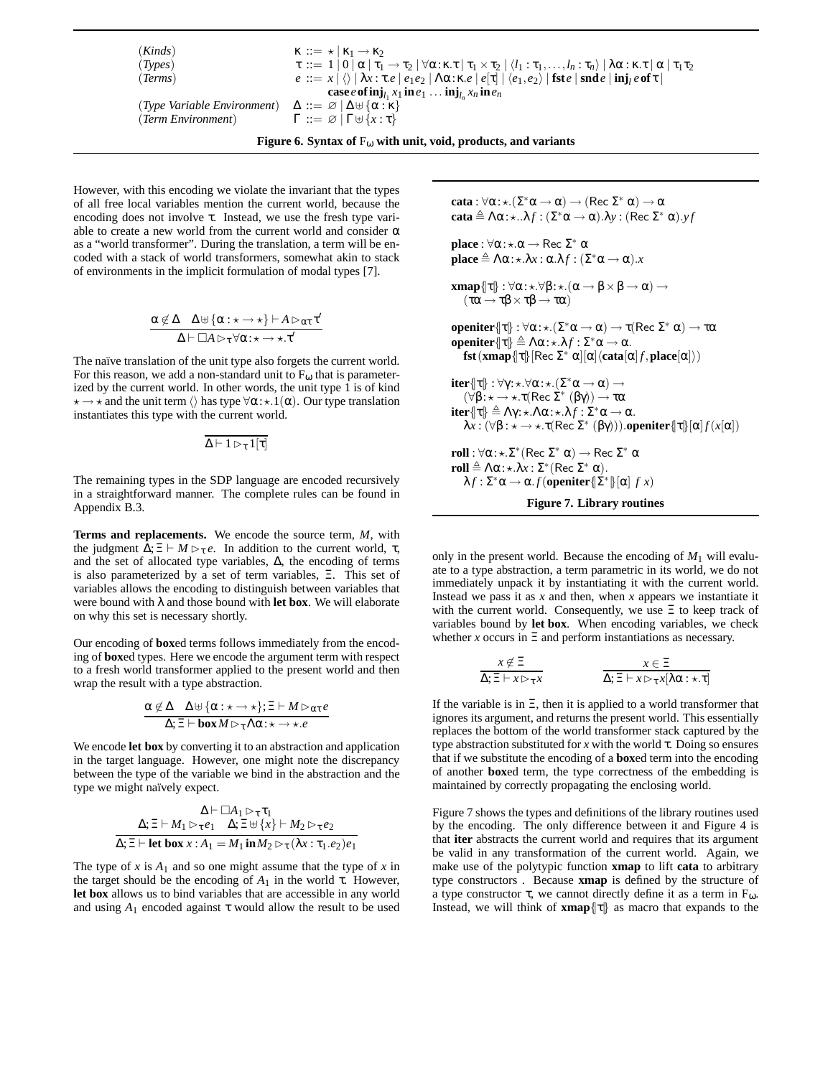(*Kinds*)<br>  $\kappa ::= \star \mid \kappa_1 \rightarrow \kappa_2$ <br>  $\tau ::= 1 \mid 0 \mid \alpha \mid \tau_1$  $\tau ::= 1 | 0 | \alpha | \tau_1 \rightarrow \tau_2 | \forall \alpha: \kappa.\tau | \tau_1 \times \tau_2 | \langle l_1: \tau_1, \ldots, l_n: \tau_n \rangle | \lambda \alpha: \kappa.\tau | \alpha | \tau_1 \tau_2$ (Terms)  $e ::= x | \langle \rangle | \lambda x : \tau.e | e_1 e_2 | \Lambda \alpha : \kappa.e | e[\tau] | \langle e_1, e_2 \rangle | \textbf{fste} | \textbf{snd } e | \textbf{inj}_l e \textbf{ot} \tau |$ case *e* of  $\text{inj}_{l_1} x_1 \text{ in } e_1 \dots \text{inj}_{l_n} x_n \text{ in } e_n$ (*Type Variable Environment*) ∆ ::= ∅ | ∆]{α : κ}  $(Term \, Environment)$   $\Gamma ::= \varnothing | \Gamma \oplus \{x : \tau\}$ **Figure 6. Syntax of** Fω **with unit, void, products, and variants**

However, with this encoding we violate the invariant that the types of all free local variables mention the current world, because the encoding does not involve  $\tau$ . Instead, we use the fresh type variable to create a new world from the current world and consider  $\alpha$ as a "world transformer". During the translation, a term will be encoded with a stack of world transformers, somewhat akin to stack of environments in the implicit formulation of modal types [7].

$$
\frac{\alpha \notin \Delta \quad \Delta \uplus \{\alpha : \star \rightarrow \star\} \vdash A \rhd_{\alpha \tau} \tau'}{\Delta \vdash \Box A \rhd_{\tau} \forall \alpha : \star \rightarrow \star . \tau'}
$$

The naïve translation of the unit type also forgets the current world. For this reason, we add a non-standard unit to  $F_{\omega}$  that is parameterized by the current world. In other words, the unit type 1 is of kind  $\star \rightarrow \star$  and the unit term  $\langle \rangle$  has type  $\forall \alpha:\star.1(\alpha)$ . Our type translation instantiates this type with the current world.

$$
\Delta \vdash 1 \rhd_{\tau} 1[\tau]
$$

The remaining types in the SDP language are encoded recursively in a straightforward manner. The complete rules can be found in Appendix B.3.

**Terms and replacements.** We encode the source term, *M*, with the judgment  $\Delta$ ;  $\Xi \vdash M \rhd_{\tau} e$ . In addition to the current world,  $\tau$ , and the set of allocated type variables, ∆, the encoding of terms is also parameterized by a set of term variables, Ξ. This set of variables allows the encoding to distinguish between variables that were bound with  $\lambda$  and those bound with **let box**. We will elaborate on why this set is necessary shortly.

Our encoding of **box**ed terms follows immediately from the encoding of **box**ed types. Here we encode the argument term with respect to a fresh world transformer applied to the present world and then wrap the result with a type abstraction.

$$
\frac{\alpha \notin \Delta \quad \Delta \uplus \{\alpha : \star \to \star\}; \Xi \vdash M \rhd_{\alpha \tau} e}{\Delta; \Xi \vdash \mathbf{box} M \rhd_{\tau} \Lambda \alpha : \star \to \star. e}
$$

We encode **let box** by converting it to an abstraction and application in the target language. However, one might note the discrepancy between the type of the variable we bind in the abstraction and the type we might naïvely expect.

$$
\Delta \vdash \Box A_1 \rhd_{\tau} \tau_1
$$
  
\n
$$
\Delta; \Xi \vdash M_1 \rhd_{\tau} e_1 \quad \Delta; \Xi \uplus \{x\} \vdash M_2 \rhd_{\tau} e_2
$$
  
\n
$$
\Delta; \Xi \vdash \textbf{let box } x : A_1 = M_1 \textbf{ in } M_2 \rhd_{\tau} (\lambda x : \tau_1 . e_2) e_1
$$

The type of  $x$  is  $A_1$  and so one might assume that the type of  $x$  in the target should be the encoding of  $A_1$  in the world τ. However, **let box** allows us to bind variables that are accessible in any world and using  $A_1$  encoded against  $\tau$  would allow the result to be used **cata** :  $\forall \alpha$  :  $\star$  . ( $\Sigma^* \alpha \rightarrow \alpha$ )  $\rightarrow$  (Rec  $\Sigma^* \alpha$ )  $\rightarrow \alpha$ **cata**  $\triangleq \Lambda \alpha : \star..\lambda f : (\Sigma^* \alpha \to \alpha).\lambda y : (\text{Rec } \Sigma^* \alpha).yf$ 

**place** :  $\forall \alpha$ : $\star \alpha \rightarrow \text{Rec} \ \Sigma^* \alpha$ **place**  $\triangleq \Lambda \alpha$ :  $\star$ . $\lambda x$  :  $\alpha$ . $\lambda f$  :  $(\Sigma^* \alpha \rightarrow \alpha)$ .*x* 

**xmap** $\{\|\tau\| : \forall \alpha : \star \forall \beta : \star \cdot (\alpha \rightarrow \beta \times \beta \rightarrow \alpha) \rightarrow$  $(\tau\alpha \rightarrow \tau\beta \times \tau\beta \rightarrow \tau\alpha)$ 

**openiter**  $\|\tau\|$  :  $\forall \alpha$  :  $\star$ . ( $\Sigma^* \alpha \to \alpha$ )  $\to \tau$  (Rec  $\Sigma^* \alpha$ )  $\to \tau \alpha$ **openiter**  $\{\!\{\tau\}\triangleq \Lambda \alpha : \star \Lambda f : \Sigma^* \alpha \to \alpha.$ **fst**  $(\mathbf{xmap} \{\{\tau\} | \mathsf{Rec}\ \Sigma^* \alpha\} | \alpha| \langle \mathbf{cata}[\alpha] f, \mathbf{place}[\alpha] \rangle)$ 

**iter** {| τ |} : ∀γ:  $\star$ . $\forall \alpha$ :  $\star$ . (Σ\*  $\alpha \rightarrow \alpha$ )  $\rightarrow$  $(\forall \beta : \star \rightarrow \star \cdot \tau(\text{Rec } \Sigma^* (\beta \gamma)) \rightarrow \tau \alpha$ **iter**  $\|\tau\| \triangleq \Lambda \gamma$ :  $\star \cdot \Lambda \alpha$ :  $\star \cdot \lambda f$  :  $\Sigma^* \alpha \rightarrow \alpha$ .  $\lambda \dot{x}$  : (∀β :  $\star$  →  $\star$  .τ(Rec Σ<sup>\*</sup> (βγ))).**openiter** {|τ|}[α] *f*(*x*[α])

**roll** :  $\forall \alpha$ :  $\star$ .Σ<sup>\*</sup> (Rec Σ<sup>\*</sup> α) → Rec Σ<sup>\*</sup> α **roll**  $\triangleq \Lambda \alpha$ :  $\star \lambda x$  :  $\Sigma^*$  (Rec  $\Sigma^* \alpha$ ).  $λf:Σ^*α → α.f$  (openiter { $[Σ^*$  } [α] *f x*) **Figure 7. Library routines**

only in the present world. Because the encoding of  $M_1$  will evaluate to a type abstraction, a term parametric in its world, we do not immediately unpack it by instantiating it with the current world. Instead we pass it as *x* and then, when *x* appears we instantiate it with the current world. Consequently, we use  $\Xi$  to keep track of variables bound by **let box**. When encoding variables, we check whether *x* occurs in  $\Xi$  and perform instantiations as necessary.

$$
\frac{x \notin \Xi}{\Delta; \Xi \vdash x \rhd_{\tau} x} \qquad \qquad \frac{x \in \Xi}{\Delta; \Xi \vdash x \rhd_{\tau} x [\lambda \alpha : \star. \tau]}
$$

If the variable is in  $\Xi$ , then it is applied to a world transformer that ignores its argument, and returns the present world. This essentially replaces the bottom of the world transformer stack captured by the type abstraction substituted for *x* with the world  $\tau$ . Doing so ensures that if we substitute the encoding of a **box**ed term into the encoding of another **box**ed term, the type correctness of the embedding is maintained by correctly propagating the enclosing world.

Figure 7 shows the types and definitions of the library routines used by the encoding. The only difference between it and Figure 4 is that **iter** abstracts the current world and requires that its argument be valid in any transformation of the current world. Again, we make use of the polytypic function **xmap** to lift **cata** to arbitrary type constructors . Because **xmap** is defined by the structure of a type constructor τ, we cannot directly define it as a term in  $F<sub>ω</sub>$ . Instead, we will think of **xmap**{|τ|} as macro that expands to the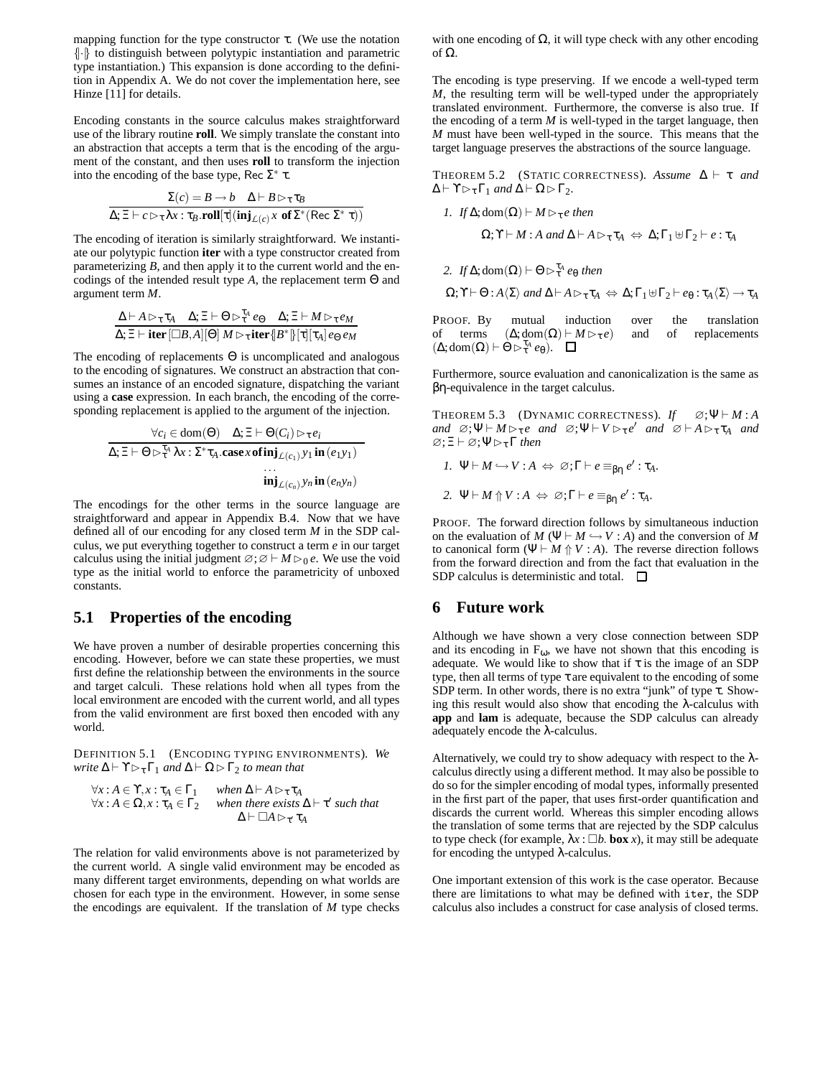mapping function for the type constructor  $\tau$ . (We use the notation {|·|} to distinguish between polytypic instantiation and parametric type instantiation.) This expansion is done according to the definition in Appendix A. We do not cover the implementation here, see Hinze [11] for details.

Encoding constants in the source calculus makes straightforward use of the library routine **roll**. We simply translate the constant into an abstraction that accepts a term that is the encoding of the argument of the constant, and then uses **roll** to transform the injection into the encoding of the base type, Rec  $\Sigma^*$  τ.

$$
\frac{\Sigma(c)=B\to b\quad \Delta\vdash B\vartriangleright_\tau\tau_B}{\Delta;\Xi\vdash c\vartriangleright_\tau\lambda\boldsymbol{x}:\tau_B.\textbf{roll}[\tau](\textbf{inj}_{\mathcal{L}(c)}\boldsymbol{x}~\textbf{of}\Sigma^*(\textbf{Rec}\,\Sigma^*\,\tau))}
$$

The encoding of iteration is similarly straightforward. We instantiate our polytypic function **iter** with a type constructor created from parameterizing *B*, and then apply it to the current world and the encodings of the intended result type *A*, the replacement term Θ and argument term *M*.

$$
\Delta \vdash A \rhd_{\tau} \tau_A \quad \Delta; \Xi \vdash \Theta \rhd_{\tau}^{\tau_A} e_{\Theta} \quad \Delta; \Xi \vdash M \rhd_{\tau} e_M \Delta; \Xi \vdash \textbf{iter} [\Box B, A][\Theta] M \rhd_{\tau} \textbf{iter} \{B^*\} [\tau][\tau_A] e_{\Theta} e_M
$$

The encoding of replacements Θ is uncomplicated and analogous to the encoding of signatures. We construct an abstraction that consumes an instance of an encoded signature, dispatching the variant using a **case** expression. In each branch, the encoding of the corresponding replacement is applied to the argument of the injection.

$$
\forall c_i \in \text{dom}(\Theta) \quad \Delta; \Xi \vdash \Theta(C_i) \rhd_{\tau} e_i
$$
\n
$$
\Delta; \Xi \vdash \Theta \rhd_{\tau}^{\tau_A} \lambda x : \Sigma^* \tau_A \text{.case } x \text{ of } \text{inj}_{\mathcal{L}(c_1)} y_1 \text{ in } (e_1 y_1)
$$
\n
$$
\dots
$$
\n
$$
\text{inj}_{\mathcal{L}(c_n)} y_n \text{ in } (e_n y_n)
$$

The encodings for the other terms in the source language are straightforward and appear in Appendix B.4. Now that we have defined all of our encoding for any closed term *M* in the SDP calculus, we put everything together to construct a term *e* in our target calculus using the initial judgment  $\emptyset$ ;  $\emptyset \vdash M \triangleright_0 e$ . We use the void type as the initial world to enforce the parametricity of unboxed constants.

#### **5.1 Properties of the encoding**

We have proven a number of desirable properties concerning this encoding. However, before we can state these properties, we must first define the relationship between the environments in the source and target calculi. These relations hold when all types from the local environment are encoded with the current world, and all types from the valid environment are first boxed then encoded with any world.

DEFINITION 5.1 (ENCODING TYPING ENVIRONMENTS). *We write*  $\Delta \vdash \Upsilon \rhd_{\tau} \Gamma_1$  *and*  $\Delta \vdash \Omega \rhd \Gamma_2$  *to mean that* 

$$
\forall x : A \in \Upsilon, x : \tau_A \in \Gamma_1 \quad when \ \Delta \vdash A \rhd_{\tau} \tau_A
$$
  

$$
\forall x : A \in \Omega, x : \tau_A \in \Gamma_2 \quad when \ there \ exists \ \Delta \vdash \tau' \ such \ that
$$
  

$$
\Delta \vdash \Box A \rhd_{\tau'} \tau_A
$$

The relation for valid environments above is not parameterized by the current world. A single valid environment may be encoded as many different target environments, depending on what worlds are chosen for each type in the environment. However, in some sense the encodings are equivalent. If the translation of *M* type checks with one encoding of  $\Omega$ , it will type check with any other encoding of Ω.

The encoding is type preserving. If we encode a well-typed term *M*, the resulting term will be well-typed under the appropriately translated environment. Furthermore, the converse is also true. If the encoding of a term  $M$  is well-typed in the target language, then *M* must have been well-typed in the source. This means that the target language preserves the abstractions of the source language.

THEOREM 5.2 (STATIC CORRECTNESS). Assume  $\Delta \vdash \tau$  and  $\Delta \vdash \Upsilon \rhd_{\tau} \Gamma_1$  *and*  $\Delta \vdash \Omega \rhd \Gamma_2$ .

*I.* If 
$$
\Delta
$$
; dom( $\Omega$ )  $\vdash M \rhd_{\tau} e$  then  
\n $\Omega$ ;  $\Gamma \vdash M : A$  and  $\Delta \vdash A \rhd_{\tau} \tau_A \Leftrightarrow \Delta$ ;  $\Gamma_1 \uplus \Gamma_2 \vdash e : \tau_A$ 

2. If 
$$
\Delta
$$
; dom( $\Omega$ )  $\vdash \Theta \rhd_{\tau}^{\tau_A} e_{\theta}$  then

$$
\Omega;\Upsilon\vdash\Theta:A\langle\Sigma\rangle\ and\ \Delta\vdash A\mathbin{\vartriangleright}_{\tau}\tau_A\ \Leftrightarrow\ \Delta;\Gamma_1\uplus\Gamma_2\vdash e_\theta:\tau_A\langle\Sigma\rangle\to\tau_A
$$

PROOF. By mutual induction over the translation of terms  $(\Delta; dom(\Omega) \vdash M \rhd_{\tau} e)$  and of replacements  $(\Delta; dom(\Omega) \vdash \Theta \rhd_{\tau}^{\tau_A} e_{\theta}).$ 

Furthermore, source evaluation and canonicalization is the same as βη-equivalence in the target calculus.

THEOREM 5.3 (DYNAMIC CORRECTNESS). *If*  $\emptyset$ ;  $\Psi \vdash M : A$  $\alpha$   $\alpha$ ;  $\Psi \vdash M \rhd_{\tau} e$  *and*  $\varnothing$ ;  $\Psi \vdash V \rhd_{\tau} e'$  *and*  $\varnothing \vdash A \rhd_{\tau} \tau_A$  *and*  $\varnothing; \Xi \vdash \varnothing; \Psi \triangleright_{\tau} \Gamma$  then

$$
I. \ \Psi \vdash M \hookrightarrow V : A \ \Leftrightarrow \ \varnothing; \Gamma \vdash e \equiv_{\beta\eta} e' : \tau_A.
$$

2.  $\Psi \vdash M \Uparrow V : A \Leftrightarrow \varnothing; \Gamma \vdash e \equiv_{\beta\eta} e' : \tau_A$ .

PROOF. The forward direction follows by simultaneous induction on the evaluation of *M* ( $\Psi \vdash M \hookrightarrow V : A$ ) and the conversion of *M* to canonical form  $(\Psi \vdash M \Uparrow V : A)$ . The reverse direction follows from the forward direction and from the fact that evaluation in the SDP calculus is deterministic and total.  $\Box$ 

#### **6 Future work**

Although we have shown a very close connection between SDP and its encoding in  $F_{\omega}$ , we have not shown that this encoding is adequate. We would like to show that if  $\tau$  is the image of an SDP type, then all terms of type τ are equivalent to the encoding of some SDP term. In other words, there is no extra "junk" of type τ. Showing this result would also show that encoding the  $\lambda$ -calculus with **app** and **lam** is adequate, because the SDP calculus can already adequately encode the λ-calculus.

Alternatively, we could try to show adequacy with respect to the  $\lambda$ calculus directly using a different method. It may also be possible to do so for the simpler encoding of modal types, informally presented in the first part of the paper, that uses first-order quantification and discards the current world. Whereas this simpler encoding allows the translation of some terms that are rejected by the SDP calculus to type check (for example,  $\lambda x : Db$ . **box** *x*), it may still be adequate for encoding the untyped λ-calculus.

One important extension of this work is the case operator. Because there are limitations to what may be defined with iter, the SDP calculus also includes a construct for case analysis of closed terms.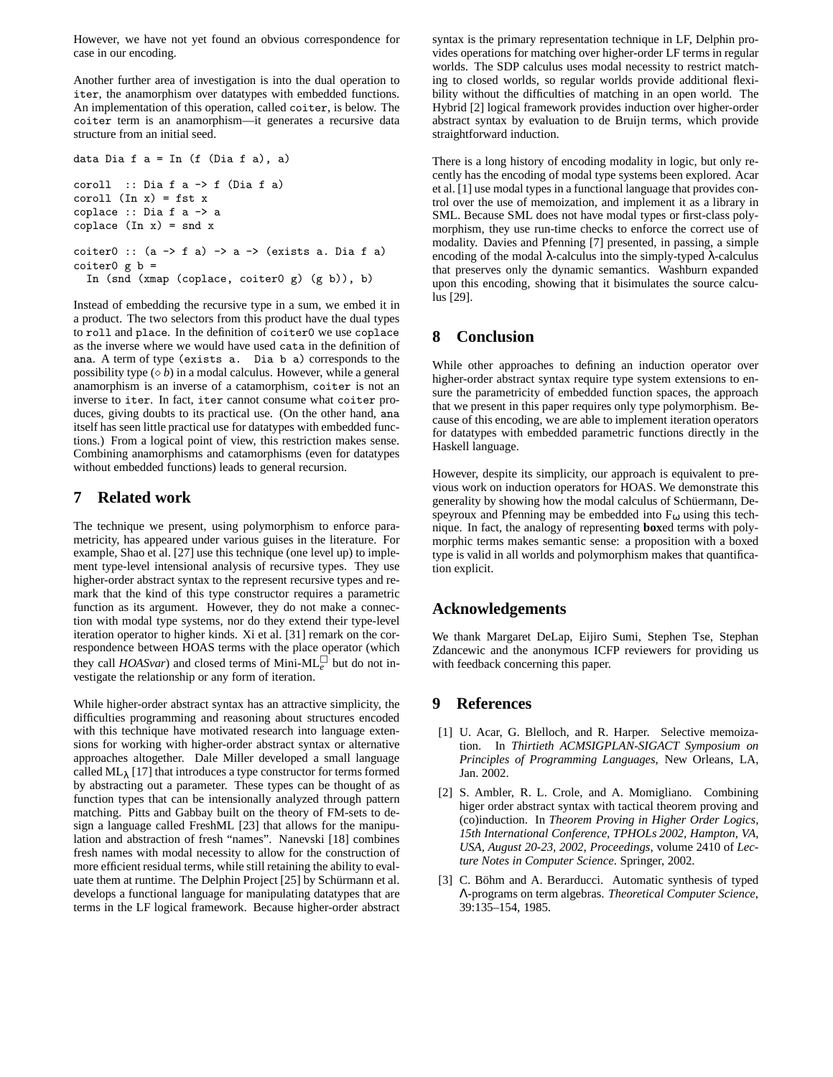However, we have not yet found an obvious correspondence for case in our encoding.

Another further area of investigation is into the dual operation to iter, the anamorphism over datatypes with embedded functions. An implementation of this operation, called coiter, is below. The coiter term is an anamorphism—it generates a recursive data structure from an initial seed.

```
data Dia f a = \text{In} (f (Dia f a), a)
coroll :: Dia f a -> f (Dia f a)
coroll (In x) = fst xcoplace :: Dia f a -> a
coplace (In x) = snd xcoiter0 :: (a \rightarrow f a) \rightarrow a \rightarrow (exists a. Dia f a)coiter0 \notin b =In (snd (xmap (coplace, coiter0 g) (g b)), b)
```
Instead of embedding the recursive type in a sum, we embed it in a product. The two selectors from this product have the dual types to roll and place. In the definition of coiter0 we use coplace as the inverse where we would have used cata in the definition of ana. A term of type (exists a. Dia b a) corresponds to the possibility type  $(\diamond b)$  in a modal calculus. However, while a general anamorphism is an inverse of a catamorphism, coiter is not an inverse to iter. In fact, iter cannot consume what coiter produces, giving doubts to its practical use. (On the other hand, ana itself has seen little practical use for datatypes with embedded functions.) From a logical point of view, this restriction makes sense. Combining anamorphisms and catamorphisms (even for datatypes without embedded functions) leads to general recursion.

# **7 Related work**

The technique we present, using polymorphism to enforce parametricity, has appeared under various guises in the literature. For example, Shao et al. [27] use this technique (one level up) to implement type-level intensional analysis of recursive types. They use higher-order abstract syntax to the represent recursive types and remark that the kind of this type constructor requires a parametric function as its argument. However, they do not make a connection with modal type systems, nor do they extend their type-level iteration operator to higher kinds. Xi et al. [31] remark on the correspondence between HOAS terms with the place operator (which they call *HOASvar*) and closed terms of Mini-ML $\int_{e}^{\square}$  but do not investigate the relationship or any form of iteration.

While higher-order abstract syntax has an attractive simplicity, the difficulties programming and reasoning about structures encoded with this technique have motivated research into language extensions for working with higher-order abstract syntax or alternative approaches altogether. Dale Miller developed a small language called  $\text{ML}_{\lambda}$  [17] that introduces a type constructor for terms formed by abstracting out a parameter. These types can be thought of as function types that can be intensionally analyzed through pattern matching. Pitts and Gabbay built on the theory of FM-sets to design a language called FreshML [23] that allows for the manipulation and abstraction of fresh "names". Nanevski [18] combines fresh names with modal necessity to allow for the construction of more efficient residual terms, while still retaining the ability to evaluate them at runtime. The Delphin Project [25] by Schürmann et al. develops a functional language for manipulating datatypes that are terms in the LF logical framework. Because higher-order abstract

syntax is the primary representation technique in LF, Delphin provides operations for matching over higher-order LF terms in regular worlds. The SDP calculus uses modal necessity to restrict matching to closed worlds, so regular worlds provide additional flexibility without the difficulties of matching in an open world. The Hybrid [2] logical framework provides induction over higher-order abstract syntax by evaluation to de Bruijn terms, which provide straightforward induction.

There is a long history of encoding modality in logic, but only recently has the encoding of modal type systems been explored. Acar et al. [1] use modal types in a functional language that provides control over the use of memoization, and implement it as a library in SML. Because SML does not have modal types or first-class polymorphism, they use run-time checks to enforce the correct use of modality. Davies and Pfenning [7] presented, in passing, a simple encoding of the modal  $\lambda$ -calculus into the simply-typed  $\lambda$ -calculus that preserves only the dynamic semantics. Washburn expanded upon this encoding, showing that it bisimulates the source calculus [29].

# **8 Conclusion**

While other approaches to defining an induction operator over higher-order abstract syntax require type system extensions to ensure the parametricity of embedded function spaces, the approach that we present in this paper requires only type polymorphism. Because of this encoding, we are able to implement iteration operators for datatypes with embedded parametric functions directly in the Haskell language.

However, despite its simplicity, our approach is equivalent to previous work on induction operators for HOAS. We demonstrate this generality by showing how the modal calculus of Schüermann, Despeyroux and Pfenning may be embedded into  $F_{\omega}$  using this technique. In fact, the analogy of representing **box**ed terms with polymorphic terms makes semantic sense: a proposition with a boxed type is valid in all worlds and polymorphism makes that quantification explicit.

# **Acknowledgements**

We thank Margaret DeLap, Eijiro Sumi, Stephen Tse, Stephan Zdancewic and the anonymous ICFP reviewers for providing us with feedback concerning this paper.

# **9 References**

- [1] U. Acar, G. Blelloch, and R. Harper. Selective memoization. In *Thirtieth ACMSIGPLAN-SIGACT Symposium on Principles of Programming Languages*, New Orleans, LA, Jan. 2002.
- [2] S. Ambler, R. L. Crole, and A. Momigliano. Combining higer order abstract syntax with tactical theorem proving and (co)induction. In *Theorem Proving in Higher Order Logics, 15th International Conference, TPHOLs 2002, Hampton, VA, USA, August 20-23, 2002, Proceedings*, volume 2410 of *Lecture Notes in Computer Science*. Springer, 2002.
- [3] C. Böhm and A. Berarducci. Automatic synthesis of typed Λ-programs on term algebras. *Theoretical Computer Science*, 39:135–154, 1985.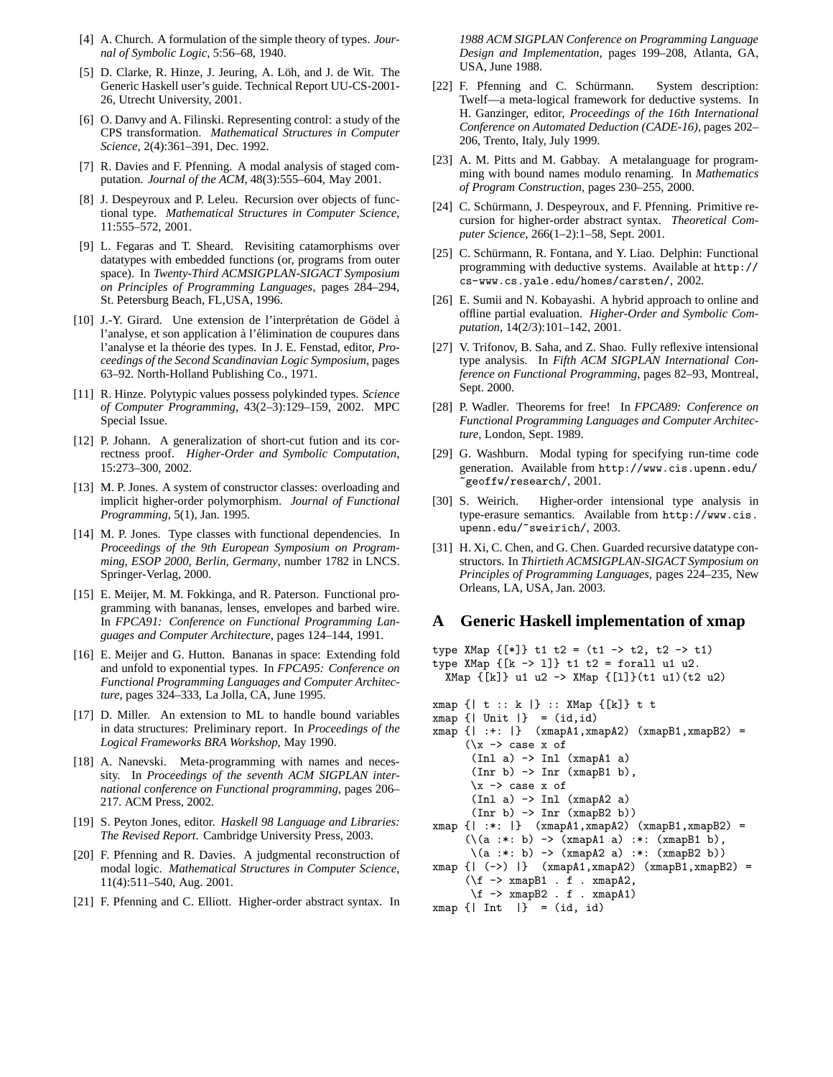- [4] A. Church. A formulation of the simple theory of types. *Journal of Symbolic Logic*, 5:56–68, 1940.
- [5] D. Clarke, R. Hinze, J. Jeuring, A. Löh, and J. de Wit. The Generic Haskell user's guide. Technical Report UU-CS-2001- 26, Utrecht University, 2001.
- [6] O. Danvy and A. Filinski. Representing control: a study of the CPS transformation. *Mathematical Structures in Computer Science*, 2(4):361–391, Dec. 1992.
- [7] R. Davies and F. Pfenning. A modal analysis of staged computation. *Journal of the ACM*, 48(3):555–604, May 2001.
- [8] J. Despeyroux and P. Leleu. Recursion over objects of functional type. *Mathematical Structures in Computer Science*, 11:555–572, 2001.
- [9] L. Fegaras and T. Sheard. Revisiting catamorphisms over datatypes with embedded functions (or, programs from outer space). In *Twenty-Third ACMSIGPLAN-SIGACT Symposium on Principles of Programming Languages*, pages 284–294, St. Petersburg Beach, FL,USA, 1996.
- [10] J.-Y. Girard. Une extension de l'interprétation de Gödel à l'analyse, et son application à l'élimination de coupures dans l'analyse et la théorie des types. In J. E. Fenstad, editor, *Proceedings of the Second Scandinavian Logic Symposium*, pages 63–92. North-Holland Publishing Co., 1971.
- [11] R. Hinze. Polytypic values possess polykinded types. *Science of Computer Programming*, 43(2–3):129–159, 2002. MPC Special Issue.
- [12] P. Johann. A generalization of short-cut fution and its correctness proof. *Higher-Order and Symbolic Computation*, 15:273–300, 2002.
- [13] M. P. Jones. A system of constructor classes: overloading and implicit higher-order polymorphism. *Journal of Functional Programming*, 5(1), Jan. 1995.
- [14] M. P. Jones. Type classes with functional dependencies. In *Proceedings of the 9th European Symposium on Programming, ESOP 2000, Berlin, Germany*, number 1782 in LNCS. Springer-Verlag, 2000.
- [15] E. Meijer, M. M. Fokkinga, and R. Paterson. Functional programming with bananas, lenses, envelopes and barbed wire. In *FPCA91: Conference on Functional Programming Languages and Computer Architecture*, pages 124–144, 1991.
- [16] E. Meijer and G. Hutton. Bananas in space: Extending fold and unfold to exponential types. In *FPCA95: Conference on Functional Programming Languages and Computer Architecture*, pages 324–333, La Jolla, CA, June 1995.
- [17] D. Miller. An extension to ML to handle bound variables in data structures: Preliminary report. In *Proceedings of the Logical Frameworks BRA Workshop*, May 1990.
- [18] A. Nanevski. Meta-programming with names and necessity. In *Proceedings of the seventh ACM SIGPLAN international conference on Functional programming*, pages 206– 217. ACM Press, 2002.
- [19] S. Peyton Jones, editor. *Haskell 98 Language and Libraries: The Revised Report*. Cambridge University Press, 2003.
- [20] F. Pfenning and R. Davies. A judgmental reconstruction of modal logic. *Mathematical Structures in Computer Science*, 11(4):511–540, Aug. 2001.
- [21] F. Pfenning and C. Elliott. Higher-order abstract syntax. In

*1988 ACM SIGPLAN Conference on Programming Language Design and Implementation*, pages 199–208, Atlanta, GA, USA, June 1988.

- [22] F. Pfenning and C. Schürmann. System description: Twelf—a meta-logical framework for deductive systems. In H. Ganzinger, editor, *Proceedings of the 16th International Conference on Automated Deduction (CADE-16)*, pages 202– 206, Trento, Italy, July 1999.
- [23] A. M. Pitts and M. Gabbay. A metalanguage for programming with bound names modulo renaming. In *Mathematics of Program Construction*, pages 230–255, 2000.
- [24] C. Schürmann, J. Despeyroux, and F. Pfenning. Primitive recursion for higher-order abstract syntax. *Theoretical Computer Science*, 266(1–2):1–58, Sept. 2001.
- [25] C. Schürmann, R. Fontana, and Y. Liao. Delphin: Functional programming with deductive systems. Available at http:// cs-www.cs.yale.edu/homes/carsten/, 2002.
- [26] E. Sumii and N. Kobayashi. A hybrid approach to online and offline partial evaluation. *Higher-Order and Symbolic Computation*, 14(2/3):101–142, 2001.
- [27] V. Trifonov, B. Saha, and Z. Shao. Fully reflexive intensional type analysis. In *Fifth ACM SIGPLAN International Conference on Functional Programming*, pages 82–93, Montreal, Sept. 2000.
- [28] P. Wadler. Theorems for free! In *FPCA89: Conference on Functional Programming Languages and Computer Architecture*, London, Sept. 1989.
- [29] G. Washburn. Modal typing for specifying run-time code generation. Available from http://www.cis.upenn.edu/  $\tilde{\mathsf{r}}$ geoffw/research/, 2001.
- [30] S. Weirich. Higher-order intensional type analysis in type-erasure semantics. Available from http://www.cis. upenn.edu/~sweirich/, 2003.
- [31] H. Xi, C. Chen, and G. Chen. Guarded recursive datatype constructors. In *Thirtieth ACMSIGPLAN-SIGACT Symposium on Principles of Programming Languages*, pages 224–235, New Orleans, LA, USA, Jan. 2003.

## **A Generic Haskell implementation of xmap**

```
type XMap {F*} t1 t2 = (t1 -> t2, t2 -> t1)
type XMap {[k \rightarrow 1]} t1 t2 = forall u1 u2.
  XMap {[k]} u1 u2 -> XMap {[l]}(t1 u1)(t2 u2)
```

```
xmap {| t :: k |} :: XMap {[k]} t t
xmap \{ | Unit | \} = (id,id)xmap {| :+: |} (xmapA1,xmapA2) (xmapB1,xmapB2) =
      (\x \rightarrow x \text{ case } x \text{ of})(Inl a) -> Inl (xmapA1 a)(Inv b) \rightarrow Inv (xmapB1 b),
        \langle x \rangle -> case x of
        (Ind a) -> Inl (xmapA2 a)(Inv b) \rightarrow Inv (xmapB2 b))xmap {| :*: |} (xmapA1,xmapA2) (xmapB1,xmapB2) =
      (\{a : * : b) \rightarrow (x \text{mapA1 a}) : *: (x \text{mapB1 b}),\(a :*: b) -> (xmapA2 a) :*: (xmapB2 b))
xmap {| (->) |} (xmapA1,xmapA2) (xmapB1,xmapB2) =
      (\forall f \rightarrow x \text{map} B1 \text{ . } f \text{ . } x \text{map} A2,\f -\n\rangle xmapB2 . f . xmapA1)
xmap \{ | Int | \} = (id, id)
```